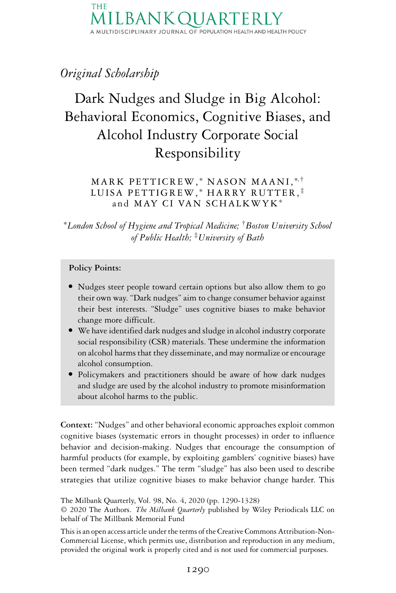**THE** LBANK OUARTERLY A MULTIDISCIPLINARY JOURNAL OF POPULATION HEALTH AND HEALTH POLICY

# *Original Scholarship*

# Dark Nudges and Sludge in Big Alcohol: Behavioral Economics, Cognitive Biases, and Alcohol Industry Corporate Social Responsibility

#### MARK PETTICREW, <sup>∗</sup> NASON MAANI, <sup>∗</sup>*,*† LUISA PETTIGREW, <sup>∗</sup> HARRY RUTTER, ‡ and MAY CI VAN SCHALKWYK<sup>\*</sup>

<sup>∗</sup>*London School of Hygiene and Tropical Medicine;* †*Boston University School of Public Health;* ‡*University of Bath*

#### **Policy Points:**

- Nudges steer people toward certain options but also allow them to go their own way. "Dark nudges" aim to change consumer behavior against their best interests. "Sludge" uses cognitive biases to make behavior change more difficult.
- We have identified dark nudges and sludge in alcohol industry corporate social responsibility (CSR) materials. These undermine the information on alcohol harms that they disseminate, and may normalize or encourage alcohol consumption.
- Policymakers and practitioners should be aware of how dark nudges and sludge are used by the alcohol industry to promote misinformation about alcohol harms to the public.

**Context:** "Nudges" and other behavioral economic approaches exploit common cognitive biases (systematic errors in thought processes) in order to influence behavior and decision-making. Nudges that encourage the consumption of harmful products (for example, by exploiting gamblers' cognitive biases) have been termed "dark nudges." The term "sludge" has also been used to describe strategies that utilize cognitive biases to make behavior change harder. This

The Milbank Quarterly, Vol. 98, No. 4, 2020 (pp. 1290-1328)

© 2020 The Authors. *The Milbank Quarterly* published by Wiley Periodicals LLC on behalf of The Millbank Memorial Fund

This is an open access article under the terms of the [Creative Commons Attribution-Non-](http://creativecommons.org/licenses/by-nc/4.0/)[Commercial](http://creativecommons.org/licenses/by-nc/4.0/) License, which permits use, distribution and reproduction in any medium, provided the original work is properly cited and is not used for commercial purposes.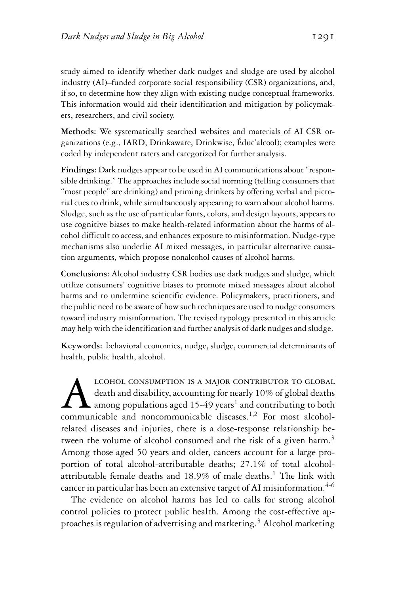study aimed to identify whether dark nudges and sludge are used by alcohol industry (AI)–funded corporate social responsibility (CSR) organizations, and, if so, to determine how they align with existing nudge conceptual frameworks. This information would aid their identification and mitigation by policymakers, researchers, and civil society.

**Methods:** We systematically searched websites and materials of AI CSR organizations (e.g., IARD, Drinkaware, Drinkwise, Éduc'alcool); examples were coded by independent raters and categorized for further analysis.

**Findings:** Dark nudges appear to be used in AI communications about "responsible drinking." The approaches include social norming (telling consumers that "most people" are drinking) and priming drinkers by offering verbal and pictorial cues to drink, while simultaneously appearing to warn about alcohol harms. Sludge, such as the use of particular fonts, colors, and design layouts, appears to use cognitive biases to make health-related information about the harms of alcohol difficult to access, and enhances exposure to misinformation. Nudge-type mechanisms also underlie AI mixed messages, in particular alternative causation arguments, which propose nonalcohol causes of alcohol harms.

**Conclusions:** Alcohol industry CSR bodies use dark nudges and sludge, which utilize consumers' cognitive biases to promote mixed messages about alcohol harms and to undermine scientific evidence. Policymakers, practitioners, and the public need to be aware of how such techniques are used to nudge consumers toward industry misinformation. The revised typology presented in this article may help with the identification and further analysis of dark nudges and sludge.

**Keywords:** behavioral economics, nudge, sludge, commercial determinants of health, public health, alcohol.

**ALCOHOL CONSUMPTION IS A MAJOR CONTRIBUTOR TO GLOBAL**<br>death and disability, accounting for nearly 10% of global deaths<br>among populations aged 15-49 years<sup>1</sup> and contributing to both<br>communicable and noncommunicable disea death and disability, accounting for nearly 10% of global deaths among populations aged 15-49 years $^{\rm l}$  and contributing to both communicable and noncommunicable diseases.<sup>1,2</sup> For most alcoholrelated diseases and injuries, there is a dose-response relationship between the volume of alcohol consumed and the risk of a given harm.<sup>3</sup> Among those aged 50 years and older, cancers account for a large proportion of total alcohol-attributable deaths; 27.1% of total alcoholattributable female deaths and  $18.9\%$  of male deaths.<sup>1</sup> The link with cancer in particular has been an extensive target of AI misinformation.<sup>4-6</sup>

The evidence on alcohol harms has led to calls for strong alcohol control policies to protect public health. Among the cost-effective approaches is regulation of advertising and marketing.<sup>3</sup> Alcohol marketing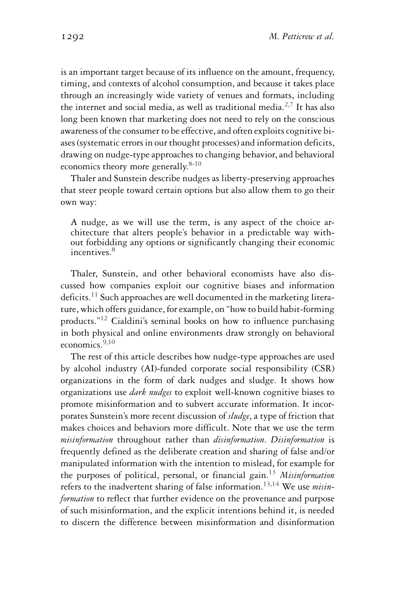is an important target because of its influence on the amount, frequency, timing, and contexts of alcohol consumption, and because it takes place through an increasingly wide variety of venues and formats, including the internet and social media, as well as traditional media.<sup>2,7</sup> It has also long been known that marketing does not need to rely on the conscious awareness of the consumer to be effective, and often exploits cognitive biases (systematic errors in our thought processes) and information deficits, drawing on nudge-type approaches to changing behavior, and behavioral economics theory more generally. $8-10$ 

Thaler and Sunstein describe nudges as liberty-preserving approaches that steer people toward certain options but also allow them to go their own way:

A nudge, as we will use the term, is any aspect of the choice architecture that alters people's behavior in a predictable way without forbidding any options or significantly changing their economic incentives.<sup>8</sup>

Thaler, Sunstein, and other behavioral economists have also discussed how companies exploit our cognitive biases and information deficits.<sup>11</sup> Such approaches are well documented in the marketing literature, which offers guidance, for example, on "how to build habit-forming products."<sup>12</sup> Cialdini's seminal books on how to influence purchasing in both physical and online environments draw strongly on behavioral economics $9,10$ 

The rest of this article describes how nudge-type approaches are used by alcohol industry (AI)-funded corporate social responsibility (CSR) organizations in the form of dark nudges and sludge. It shows how organizations use *dark nudges* to exploit well-known cognitive biases to promote misinformation and to subvert accurate information. It incorporates Sunstein's more recent discussion of *sludge*, a type of friction that makes choices and behaviors more difficult. Note that we use the term *misinformation* throughout rather than *disinformation*. *Disinformation* is frequently defined as the deliberate creation and sharing of false and/or manipulated information with the intention to mislead, for example for the purposes of political, personal, or financial gain.13 *Misinformation* refers to the inadvertent sharing of false information.13,14 We use *misinformation* to reflect that further evidence on the provenance and purpose of such misinformation, and the explicit intentions behind it, is needed to discern the difference between misinformation and disinformation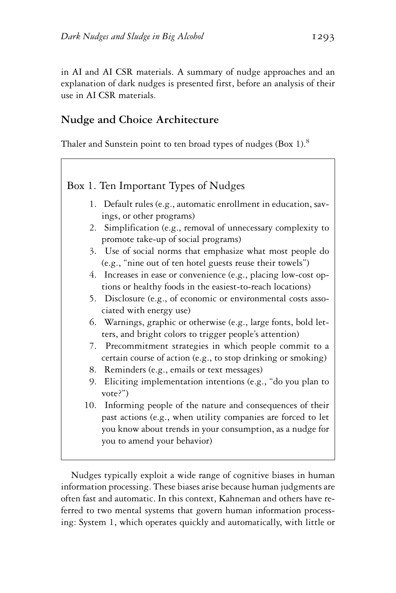in AI and AI CSR materials. A summary of nudge approaches and an explanation of dark nudges is presented first, before an analysis of their use in AI CSR materials.

## **Nudge and Choice Architecture**

Thaler and Sunstein point to ten broad types of nudges (Box 1).<sup>8</sup>



Nudges typically exploit a wide range of cognitive biases in human information processing. These biases arise because human judgments are often fast and automatic. In this context, Kahneman and others have referred to two mental systems that govern human information processing: System 1, which operates quickly and automatically, with little or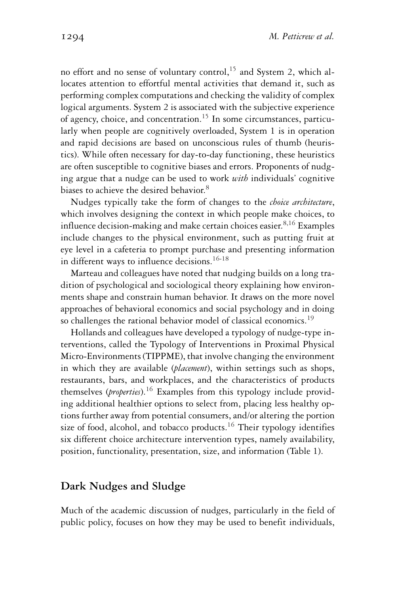no effort and no sense of voluntary control,<sup>15</sup> and System 2, which allocates attention to effortful mental activities that demand it, such as performing complex computations and checking the validity of complex logical arguments. System 2 is associated with the subjective experience of agency, choice, and concentration.<sup>15</sup> In some circumstances, particularly when people are cognitively overloaded, System 1 is in operation and rapid decisions are based on unconscious rules of thumb (heuristics). While often necessary for day-to-day functioning, these heuristics are often susceptible to cognitive biases and errors. Proponents of nudging argue that a nudge can be used to work *with* individuals' cognitive biases to achieve the desired behavior.<sup>8</sup>

Nudges typically take the form of changes to the *choice architecture*, which involves designing the context in which people make choices, to influence decision-making and make certain choices easier.<sup>8,16</sup> Examples include changes to the physical environment, such as putting fruit at eye level in a cafeteria to prompt purchase and presenting information in different ways to influence decisions.<sup>16-18</sup>

Marteau and colleagues have noted that nudging builds on a long tradition of psychological and sociological theory explaining how environments shape and constrain human behavior. It draws on the more novel approaches of behavioral economics and social psychology and in doing so challenges the rational behavior model of classical economics.<sup>19</sup>

Hollands and colleagues have developed a typology of nudge-type interventions, called the Typology of Interventions in Proximal Physical Micro-Environments (TIPPME), that involve changing the environment in which they are available (*placement*), within settings such as shops, restaurants, bars, and workplaces, and the characteristics of products themselves (*properties*).16 Examples from this typology include providing additional healthier options to select from, placing less healthy options further away from potential consumers, and/or altering the portion size of food, alcohol, and tobacco products.<sup>16</sup> Their typology identifies six different choice architecture intervention types, namely availability, position, functionality, presentation, size, and information (Table 1).

## **Dark Nudges and Sludge**

Much of the academic discussion of nudges, particularly in the field of public policy, focuses on how they may be used to benefit individuals,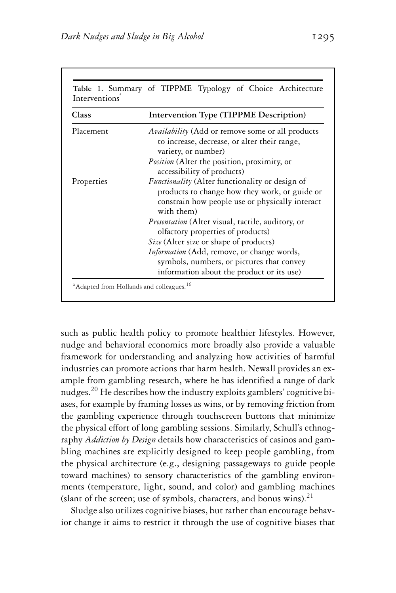| Class      | Intervention Type (TIPPME Description)                                                                                                                                   |
|------------|--------------------------------------------------------------------------------------------------------------------------------------------------------------------------|
| Placement  | <i>Availability</i> (Add or remove some or all products<br>to increase, decrease, or alter their range,<br>variety, or number)                                           |
|            | <i>Position</i> (Alter the position, proximity, or<br>accessibility of products)                                                                                         |
| Properties | <i>Functionality</i> (Alter functionality or design of<br>products to change how they work, or guide or<br>constrain how people use or physically interact<br>with them) |
|            | <i>Presentation</i> (Alter visual, tactile, auditory, or<br>olfactory properties of products)                                                                            |
|            | <i>Size</i> (Alter size or shape of products)                                                                                                                            |
|            | Information (Add, remove, or change words,                                                                                                                               |
|            | symbols, numbers, or pictures that convey                                                                                                                                |
|            | information about the product or its use)                                                                                                                                |

such as public health policy to promote healthier lifestyles. However, nudge and behavioral economics more broadly also provide a valuable framework for understanding and analyzing how activities of harmful industries can promote actions that harm health. Newall provides an example from gambling research, where he has identified a range of dark nudges.<sup>20</sup> He describes how the industry exploits gamblers' cognitive biases, for example by framing losses as wins, or by removing friction from the gambling experience through touchscreen buttons that minimize the physical effort of long gambling sessions. Similarly, Schull's ethnography *Addiction by Design* details how characteristics of casinos and gambling machines are explicitly designed to keep people gambling, from the physical architecture (e.g., designing passageways to guide people toward machines) to sensory characteristics of the gambling environments (temperature, light, sound, and color) and gambling machines (slant of the screen; use of symbols, characters, and bonus wins).  $2^1$ 

Sludge also utilizes cognitive biases, but rather than encourage behavior change it aims to restrict it through the use of cognitive biases that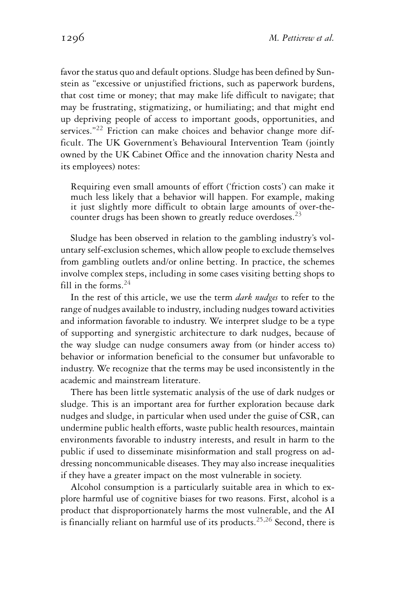favor the status quo and default options. Sludge has been defined by Sunstein as "excessive or unjustified frictions, such as paperwork burdens, that cost time or money; that may make life difficult to navigate; that may be frustrating, stigmatizing, or humiliating; and that might end up depriving people of access to important goods, opportunities, and services."<sup>22</sup> Friction can make choices and behavior change more difficult. The UK Government's Behavioural Intervention Team (jointly owned by the UK Cabinet Office and the innovation charity Nesta and its employees) notes:

Requiring even small amounts of effort ('friction costs') can make it much less likely that a behavior will happen. For example, making it just slightly more difficult to obtain large amounts of over-thecounter drugs has been shown to greatly reduce overdoses.<sup>23</sup>

Sludge has been observed in relation to the gambling industry's voluntary self-exclusion schemes, which allow people to exclude themselves from gambling outlets and/or online betting. In practice, the schemes involve complex steps, including in some cases visiting betting shops to fill in the forms.24

In the rest of this article, we use the term *dark nudges* to refer to the range of nudges available to industry, including nudges toward activities and information favorable to industry. We interpret sludge to be a type of supporting and synergistic architecture to dark nudges, because of the way sludge can nudge consumers away from (or hinder access to) behavior or information beneficial to the consumer but unfavorable to industry. We recognize that the terms may be used inconsistently in the academic and mainstream literature.

There has been little systematic analysis of the use of dark nudges or sludge. This is an important area for further exploration because dark nudges and sludge, in particular when used under the guise of CSR, can undermine public health efforts, waste public health resources, maintain environments favorable to industry interests, and result in harm to the public if used to disseminate misinformation and stall progress on addressing noncommunicable diseases. They may also increase inequalities if they have a greater impact on the most vulnerable in society.

Alcohol consumption is a particularly suitable area in which to explore harmful use of cognitive biases for two reasons. First, alcohol is a product that disproportionately harms the most vulnerable, and the AI is financially reliant on harmful use of its products.<sup>25,26</sup> Second, there is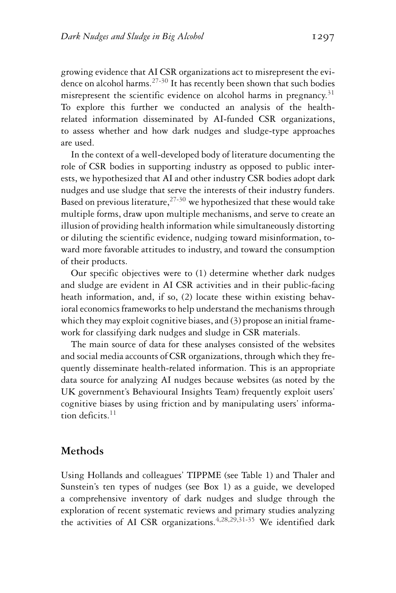growing evidence that AI CSR organizations act to misrepresent the evidence on alcohol harms.<sup>27-30</sup> It has recently been shown that such bodies misrepresent the scientific evidence on alcohol harms in pregnancy.<sup>31</sup> To explore this further we conducted an analysis of the healthrelated information disseminated by AI-funded CSR organizations, to assess whether and how dark nudges and sludge-type approaches are used.

In the context of a well-developed body of literature documenting the role of CSR bodies in supporting industry as opposed to public interests, we hypothesized that AI and other industry CSR bodies adopt dark nudges and use sludge that serve the interests of their industry funders. Based on previous literature,  $27-30$  we hypothesized that these would take multiple forms, draw upon multiple mechanisms, and serve to create an illusion of providing health information while simultaneously distorting or diluting the scientific evidence, nudging toward misinformation, toward more favorable attitudes to industry, and toward the consumption of their products.

Our specific objectives were to (1) determine whether dark nudges and sludge are evident in AI CSR activities and in their public-facing heath information, and, if so, (2) locate these within existing behavioral economics frameworks to help understand the mechanisms through which they may exploit cognitive biases, and (3) propose an initial framework for classifying dark nudges and sludge in CSR materials.

The main source of data for these analyses consisted of the websites and social media accounts of CSR organizations, through which they frequently disseminate health-related information. This is an appropriate data source for analyzing AI nudges because websites (as noted by the UK government's Behavioural Insights Team) frequently exploit users' cognitive biases by using friction and by manipulating users' information deficits. $11$ 

## **Methods**

Using Hollands and colleagues' TIPPME (see Table 1) and Thaler and Sunstein's ten types of nudges (see Box 1) as a guide, we developed a comprehensive inventory of dark nudges and sludge through the exploration of recent systematic reviews and primary studies analyzing the activities of AI CSR organizations.<sup>4,28,29,31-35</sup> We identified dark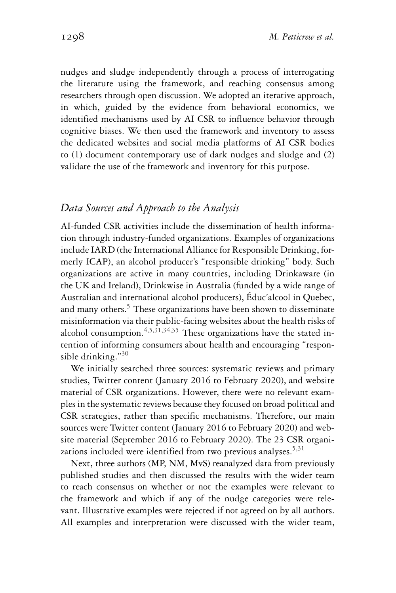nudges and sludge independently through a process of interrogating the literature using the framework, and reaching consensus among researchers through open discussion. We adopted an iterative approach, in which, guided by the evidence from behavioral economics, we identified mechanisms used by AI CSR to influence behavior through cognitive biases. We then used the framework and inventory to assess the dedicated websites and social media platforms of AI CSR bodies to (1) document contemporary use of dark nudges and sludge and (2) validate the use of the framework and inventory for this purpose.

## *Data Sources and Approach to the Analysis*

AI-funded CSR activities include the dissemination of health information through industry-funded organizations. Examples of organizations include IARD (the International Alliance for Responsible Drinking, formerly ICAP), an alcohol producer's "responsible drinking" body. Such organizations are active in many countries, including Drinkaware (in the UK and Ireland), Drinkwise in Australia (funded by a wide range of Australian and international alcohol producers), Éduc'alcool in Quebec, and many others.<sup>5</sup> These organizations have been shown to disseminate misinformation via their public-facing websites about the health risks of alcohol consumption.<sup>4,5,31,34,35</sup> These organizations have the stated intention of informing consumers about health and encouraging "responsible drinking."<sup>30</sup>

We initially searched three sources: systematic reviews and primary studies, Twitter content (January 2016 to February 2020), and website material of CSR organizations. However, there were no relevant examples in the systematic reviews because they focused on broad political and CSR strategies, rather than specific mechanisms. Therefore, our main sources were Twitter content (January 2016 to February 2020) and website material (September 2016 to February 2020). The 23 CSR organizations included were identified from two previous analyses.<sup>5,31</sup>

Next, three authors (MP, NM, MvS) reanalyzed data from previously published studies and then discussed the results with the wider team to reach consensus on whether or not the examples were relevant to the framework and which if any of the nudge categories were relevant. Illustrative examples were rejected if not agreed on by all authors. All examples and interpretation were discussed with the wider team,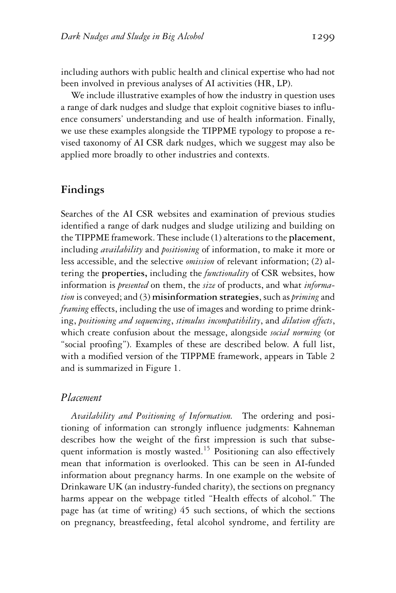including authors with public health and clinical expertise who had not been involved in previous analyses of AI activities (HR, LP).

We include illustrative examples of how the industry in question uses a range of dark nudges and sludge that exploit cognitive biases to influence consumers' understanding and use of health information. Finally, we use these examples alongside the TIPPME typology to propose a revised taxonomy of AI CSR dark nudges, which we suggest may also be applied more broadly to other industries and contexts.

#### **Findings**

Searches of the AI CSR websites and examination of previous studies identified a range of dark nudges and sludge utilizing and building on the TIPPME framework. These include (1) alterations to the **placement**, including *availability* and *positioning* of information, to make it more or less accessible, and the selective *omission* of relevant information; (2) altering the **properties,** including the *functionality* of CSR websites, how information is *presented* on them, the *size* of products, and what *information* is conveyed; and (3) **misinformation strategies**, such as*priming*and *framing* effects, including the use of images and wording to prime drinking, *positioning and sequencing*, *stimulus incompatibility*, and *dilution effects*, which create confusion about the message, alongside *social norming* (or "social proofing"). Examples of these are described below. A full list, with a modified version of the TIPPME framework, appears in Table 2 and is summarized in Figure 1.

#### *Placement*

*Availability and Positioning of Information.* The ordering and positioning of information can strongly influence judgments: Kahneman describes how the weight of the first impression is such that subsequent information is mostly wasted.<sup>15</sup> Positioning can also effectively mean that information is overlooked. This can be seen in AI-funded information about pregnancy harms. In one example on the website of Drinkaware UK (an industry-funded charity), the sections on pregnancy harms appear on the webpage titled "Health effects of alcohol." The page has (at time of writing) 45 such sections, of which the sections on pregnancy, breastfeeding, fetal alcohol syndrome, and fertility are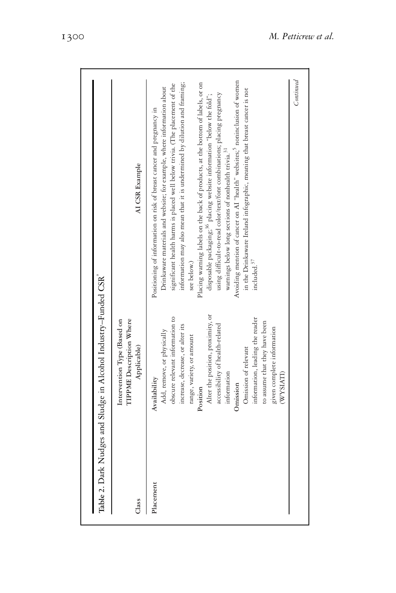|           | Table 2. Dark Nudges and Sludge in Alcohol Industry-Funded CSR                                                                                                                                                                                                                                                                                                                                       |                                                                                                                                                                                                                                                                                                                                                                                                                                                                                                                                                                                                                                                                                                                                                                                                                                                |
|-----------|------------------------------------------------------------------------------------------------------------------------------------------------------------------------------------------------------------------------------------------------------------------------------------------------------------------------------------------------------------------------------------------------------|------------------------------------------------------------------------------------------------------------------------------------------------------------------------------------------------------------------------------------------------------------------------------------------------------------------------------------------------------------------------------------------------------------------------------------------------------------------------------------------------------------------------------------------------------------------------------------------------------------------------------------------------------------------------------------------------------------------------------------------------------------------------------------------------------------------------------------------------|
| Class     | TIPPME Description Where<br>Intervention Type (Based on<br>Applicable)                                                                                                                                                                                                                                                                                                                               | AI CSR Example                                                                                                                                                                                                                                                                                                                                                                                                                                                                                                                                                                                                                                                                                                                                                                                                                                 |
| Placement | Alter the position, proximity, or<br>obscure relevant information to<br>information, leading the reader<br>to assume that they have been<br>increase, decrease, or alter its<br>accessibility of health-related<br>given complete information<br>Add, remove, or physically<br>range, variety, or amount<br>Omission of relevant<br>information<br>(WYSIATI)<br>Availability<br>Omission<br>Position | Avoiding mention of cancer on AI "health" websites; <sup>5</sup> noninclusion of women<br>significant health harms is placed well below trivia. (The placement of the<br>information may also mean that it is undermined by dilution and framing;<br>Placing warning labels on the back of products, at the bottom of labels, or on<br>Drinkaware materials and website; for example, where information about<br>in the Drinkaware Ireland infographic, meaning that breast cancer is not<br>using difficult-to-read color/text/font combinations; placing pregnancy<br>disposable packaging; <sup>36</sup> placing website information "below the fold";<br>Positioning of information on risk of breast cancer and pregnancy in<br>warnings below long sections of nonhealth trivia. <sup>31</sup><br>included. <sup>37</sup><br>see below.) |
|           |                                                                                                                                                                                                                                                                                                                                                                                                      | Continued                                                                                                                                                                                                                                                                                                                                                                                                                                                                                                                                                                                                                                                                                                                                                                                                                                      |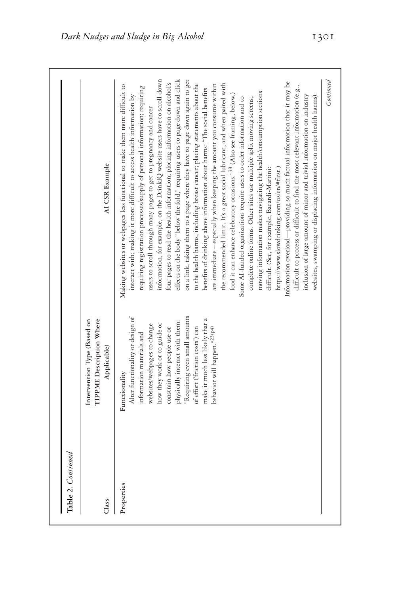|            | <b>TIPPME</b> Description Where<br>Intervention Type (Based on                                                                                                                                                                                                                                                                                                      |                                                                                                                                                                                                                                                                                                                                                                                                                                                                                                                                                                                                                                                                                                                                                                                                                                                                                                                                                                                                                                                                                                                                                                                                                                                                                                                                                                                                                                                                                                                                                                                                                                                                              |
|------------|---------------------------------------------------------------------------------------------------------------------------------------------------------------------------------------------------------------------------------------------------------------------------------------------------------------------------------------------------------------------|------------------------------------------------------------------------------------------------------------------------------------------------------------------------------------------------------------------------------------------------------------------------------------------------------------------------------------------------------------------------------------------------------------------------------------------------------------------------------------------------------------------------------------------------------------------------------------------------------------------------------------------------------------------------------------------------------------------------------------------------------------------------------------------------------------------------------------------------------------------------------------------------------------------------------------------------------------------------------------------------------------------------------------------------------------------------------------------------------------------------------------------------------------------------------------------------------------------------------------------------------------------------------------------------------------------------------------------------------------------------------------------------------------------------------------------------------------------------------------------------------------------------------------------------------------------------------------------------------------------------------------------------------------------------------|
| Class      | Applicable)                                                                                                                                                                                                                                                                                                                                                         | AI CSR Example                                                                                                                                                                                                                                                                                                                                                                                                                                                                                                                                                                                                                                                                                                                                                                                                                                                                                                                                                                                                                                                                                                                                                                                                                                                                                                                                                                                                                                                                                                                                                                                                                                                               |
| Properties | 'Requiring even small amounts<br>Alter functionality or design of<br>make it much less likely that a<br>physically interact with them:<br>how they work or to guide or<br>websites/webpages to change<br>of effort ('friction costs') can<br>behavior will happen." <sup>23 (p4)</sup><br>constrain how people use or<br>information materials and<br>Functionality | information, for example, on the DrinkIQ website users have to scroll down<br>effects on the body "below the fold," requiring users to page down and click<br>on a link, taking them to a page where they have to page down again to get<br>four pages to read the health information; placing information on alcohol's<br>Information overload—providing so much factual information that it may be<br>to the health harms, including breast cancer; placing statements about the<br>the recommended limit. It's a great social lubricant, and when paired with<br>Making websites or webpages less functional to make them more difficult to<br>are immediate - especially when keeping the amount you consume within<br>difficult to process or difficult to find the most relevant information (e.g.,<br>requiring registration processes/supply of personal information; requiring<br>benefits of drinking above information about harms: "The social benefits<br>moving information makes navigating the health/consumption sections<br>food it can enhance celebratory occasions."38 (Also see framing, below.)<br>inclusion of large amount of minor and trivial information on industry<br>websites, swamping or displacing information on major health harms).<br>interact with; making it more difficult to access health information by<br>Some AI-funded organizations require users to order information and to<br>complete online forms. Other sites use multiple split moving screens;<br>users to scroll through many pages to get to pregnancy and cancer<br>difficult. (See, for example, Bacardi-Martini:<br>https://www.slowdrinking.com/us/en/#first.) |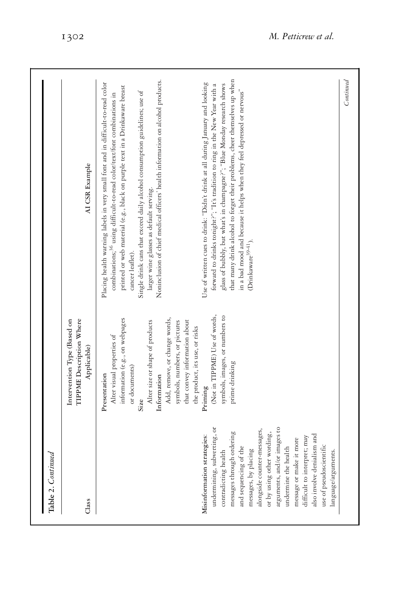| Table 2. Continued                                                                                                                                                                                                                                                                                                                                                                                                            |                                                                                                                                                                                                                                                                                                                                                                                                     |                                                                                                                                                                                                                                                                                                                                                                                                                                                                                                                                                                                                                                                                                                                                                                                                                                                                                                                             |
|-------------------------------------------------------------------------------------------------------------------------------------------------------------------------------------------------------------------------------------------------------------------------------------------------------------------------------------------------------------------------------------------------------------------------------|-----------------------------------------------------------------------------------------------------------------------------------------------------------------------------------------------------------------------------------------------------------------------------------------------------------------------------------------------------------------------------------------------------|-----------------------------------------------------------------------------------------------------------------------------------------------------------------------------------------------------------------------------------------------------------------------------------------------------------------------------------------------------------------------------------------------------------------------------------------------------------------------------------------------------------------------------------------------------------------------------------------------------------------------------------------------------------------------------------------------------------------------------------------------------------------------------------------------------------------------------------------------------------------------------------------------------------------------------|
| Class                                                                                                                                                                                                                                                                                                                                                                                                                         | Intervention Type (Based on<br>TIPPME Description Where<br>Applicable)                                                                                                                                                                                                                                                                                                                              | AI CSR Example                                                                                                                                                                                                                                                                                                                                                                                                                                                                                                                                                                                                                                                                                                                                                                                                                                                                                                              |
| undermining, subverting, or<br>arguments, and/or images to<br>alongside counter-messages,<br>messages through ordering<br>or by using other wording,<br>Misinformation strategies:<br>also involve denialism and<br>difficult to interpret; may<br>message or make it more<br>use of pseudoscientific<br>and sequencing of the<br>undermine the health<br>messages, by placing<br>language/arguments.<br>contradicting health | (Not in TIPPME) Use of words,<br>symbols, images, or numbers to<br>Add, remove, or change words,<br>information (e.g., on webpages<br>that convey information about<br>Alter size or shape of products<br>symbols, numbers, or pictures<br>the product, its use, or risks<br>Alter visual properties of<br>prime drinking<br>or documents)<br>Presentation<br>Information<br>Priming<br><b>Size</b> | that many drink alcohol to forget their problems, cheer themselves up when<br>Noninclusion of chief medical officers' health information on alcohol products.<br>Placing health warning labels in very small font and in difficult-to-read color<br>Use of written cues to drink: "Didn't drink at all during January and looking<br>forward to drinks tonight?"; "It's tradition to ring in the New Year with a<br>glass of bubbly, but what's in champagne?"; "Blue Monday research shows<br>printed or web material (e.g., black on purple text in a Drinkaware breast<br>in a bad mood and because it helps when they feel depressed or nervous"<br>Single drink cans that exceed daily alcohol consumption guidelines; use of<br>combinations; <sup>36</sup> using difficult-to-read color/text/font combinations in<br>larger wine glasses as default serving.<br>(Drinkaware <sup>39-41</sup> ).<br>cancer leaflet). |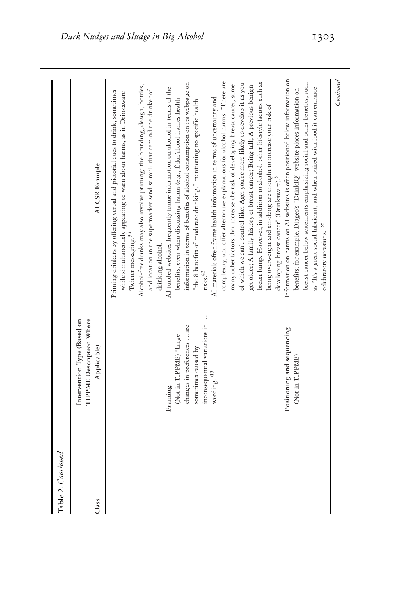| Table 2. Continued |                                                                                                                                           |                                                                                                                                                                                                                                                                                                                                                                                                                                                                                                                                                                                                                                                                                                                                                                                                                                                                                                                                                                                                                                                                                                               |
|--------------------|-------------------------------------------------------------------------------------------------------------------------------------------|---------------------------------------------------------------------------------------------------------------------------------------------------------------------------------------------------------------------------------------------------------------------------------------------------------------------------------------------------------------------------------------------------------------------------------------------------------------------------------------------------------------------------------------------------------------------------------------------------------------------------------------------------------------------------------------------------------------------------------------------------------------------------------------------------------------------------------------------------------------------------------------------------------------------------------------------------------------------------------------------------------------------------------------------------------------------------------------------------------------|
| Class              | <b>TIPPME</b> Description Where<br>Intervention Type (Based on<br>Applicable)                                                             | AI CSR Example                                                                                                                                                                                                                                                                                                                                                                                                                                                                                                                                                                                                                                                                                                                                                                                                                                                                                                                                                                                                                                                                                                |
|                    | inconsequential variations in<br>changes in preferences are<br>(Not in TIPPME) "Large<br>sometimes caused by<br>wording." $15$<br>Framing | complexity, and offer alternative explanations for alcohol harms: "There are<br>information in terms of benefits of alcohol consumption on its webpage on<br>of which we can't control like: Age: you're more likely to develop it as you<br>Alcohol-free drinks may also involve priming: the branding, design, bottles,<br>many other factors that increase the risk of developing breast cancer, some<br>get older; A family history of breast cancer; Being tall; A previous benign<br>AI-funded websites frequently frame information on alcohol in terms of the<br>and location in the supermarket send stimuli that remind the drinker of<br>Priming drinkers by offering verbal and pictorial cues to drink, sometimes<br>while simultaneously appearing to warn about harms, as in Drinkaware<br>AI materials often frame health information in terms of uncertainty and<br>benefits, even when discussing harms (e.g., Éduc'alcool frames health<br>"the 8 benefits of moderate drinking," mentioning no specific health<br>Twitter messaging. <sup>34</sup><br>drinking alcohol.<br>risks. $^{42}$ |
|                    | Positioning and sequencing<br>(Not in TIPPME)                                                                                             | Information on harms on AI websites is often positioned below information on<br>breast lump. However, in addition to alcohol, other lifestyle factors such as<br>breast cancer below statements emphasizing social and other benefits, such<br>as "It's a great social lubricant, and when paired with food it can enhance<br>benefits; for example, Diageo's "DrinkIQ" website places information on<br>being overweight and smoking are thought to increase your risk of<br>${\rm developing~ breast~cancer}^{\prime\prime}$ (Drinkaware). $^5$<br>celebratory occasions."38                                                                                                                                                                                                                                                                                                                                                                                                                                                                                                                                |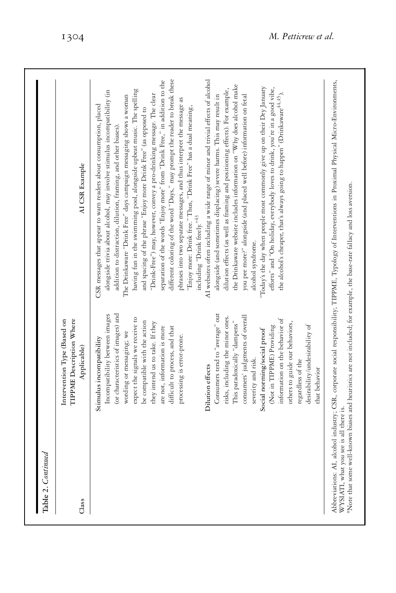|       | Intervention Type (Based on<br><b>TIPPME</b> Description Where |                                                                                                             |
|-------|----------------------------------------------------------------|-------------------------------------------------------------------------------------------------------------|
| Class | Applicable)                                                    | AI CSR Example                                                                                              |
|       | Stimulus incompatibility                                       | CSR messages that appear to warn readers about consumption, placed                                          |
|       | Incompatibility between images                                 | alongside trivia about alcohol, may involve stimulus incompatibility (in                                    |
|       | (or characteristics of images) and                             | addition to distraction, dilution, framing, and other biases)                                               |
|       | wording or messaging; we                                       | The Drinkaware "Drink Free" days campaign messaging shows a woman                                           |
|       | expect the signals we receive to                               | having fun in the swimming pool, alongside upbeat music. The spelling                                       |
|       | be compatible with the action                                  | and spacing of the phrase "Enjoy more Drink Free" (as opposed to                                            |
|       | they intend us to take. If they                                | "Drink-Free") may, however, convey a pro-drinking message. The clear                                        |
|       | are not, information is more                                   | separation of the words "Enjoy more" from "Drink Free," in addition to the                                  |
|       | difficult to process, and that                                 | different coloring of the word "Days," may prompt the reader to break these                                 |
|       | processing is error-prone.                                     | phrases into two separate messages, and thus interpret the message as                                       |
|       |                                                                | "Enjoy more: Drink free." Thus, "Drink Free" has a dual meaning,<br>including "Drink freely." <sup>43</sup> |
|       | Dilution effects                                               | AI websites often including a wide range of minor and trivial effects of alcohol                            |
|       | Consumers tend to "average" out                                | alongside (and sometimes displacing) severe harms. This may result in                                       |
|       | risks, including the minor ones.                               | dilution effects (as well as framing and positioning effects). For example,                                 |
|       | This paradoxically "dampens"                                   | the Drinkaware website includes information on "Why does alcohol make                                       |
|       | consumers' judgments of overall                                | you pee more?" alongside (and placed well before) information on fetal                                      |
|       | severity and risk.                                             | alcohol syndrome.                                                                                           |
|       | Social norming/social proof                                    | "Today's the day when people most commonly give up on their Dry January                                     |
|       | (Not in TIPPME) Providing                                      | efforts" and "On holiday, everybody loves to drink, you're in a good vibe,                                  |
|       | information on the behavior of                                 | the alcohol's cheaper, that's always going to happen" (Drinkaware <sup>44,45</sup> ).                       |
|       | others to guide our behaviors,                                 |                                                                                                             |
|       | regardless of the                                              |                                                                                                             |
|       | desirability/undesirability of                                 |                                                                                                             |
|       | that behavior                                                  |                                                                                                             |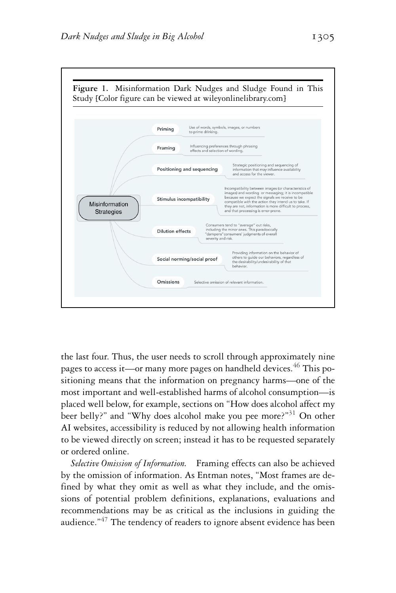



the last four. Thus, the user needs to scroll through approximately nine pages to access it—or many more pages on handheld devices.<sup>46</sup> This positioning means that the information on pregnancy harms—one of the most important and well-established harms of alcohol consumption—is placed well below, for example, sections on "How does alcohol affect my beer belly?" and "Why does alcohol make you pee more?"<sup>31</sup> On other AI websites, accessibility is reduced by not allowing health information to be viewed directly on screen; instead it has to be requested separately or ordered online.

*Selective Omission of Information.* Framing effects can also be achieved by the omission of information. As Entman notes, "Most frames are defined by what they omit as well as what they include, and the omissions of potential problem definitions, explanations, evaluations and recommendations may be as critical as the inclusions in guiding the audience." $47$  The tendency of readers to ignore absent evidence has been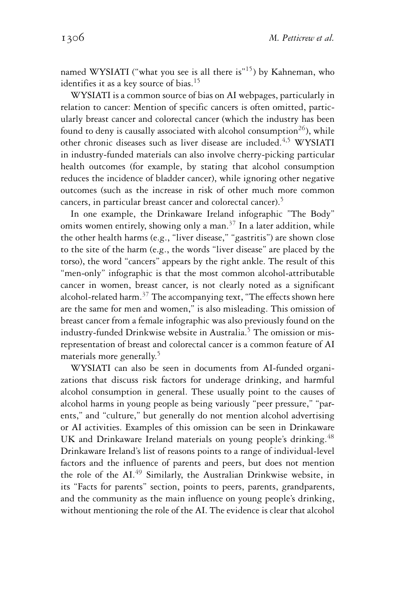named WYSIATI ("what you see is all there is"<sup>15</sup>) by Kahneman, who identifies it as a key source of bias.<sup>15</sup>

WYSIATI is a common source of bias on AI webpages, particularly in relation to cancer: Mention of specific cancers is often omitted, particularly breast cancer and colorectal cancer (which the industry has been found to deny is causally associated with alcohol consumption<sup>26</sup>), while other chronic diseases such as liver disease are included.<sup>4,5</sup> WYSIATI in industry-funded materials can also involve cherry-picking particular health outcomes (for example, by stating that alcohol consumption reduces the incidence of bladder cancer), while ignoring other negative outcomes (such as the increase in risk of other much more common cancers, in particular breast cancer and colorectal cancer).<sup>5</sup>

In one example, the Drinkaware Ireland infographic "The Body" omits women entirely, showing only a man.<sup>37</sup> In a later addition, while the other health harms (e.g., "liver disease," "gastritis") are shown close to the site of the harm (e.g., the words "liver disease" are placed by the torso), the word "cancers" appears by the right ankle. The result of this "men-only" infographic is that the most common alcohol-attributable cancer in women, breast cancer, is not clearly noted as a significant alcohol-related harm.<sup>37</sup> The accompanying text, "The effects shown here are the same for men and women," is also misleading. This omission of breast cancer from a female infographic was also previously found on the industry-funded Drinkwise website in Australia.<sup>5</sup> The omission or misrepresentation of breast and colorectal cancer is a common feature of AI materials more generally.<sup>5</sup>

WYSIATI can also be seen in documents from AI-funded organizations that discuss risk factors for underage drinking, and harmful alcohol consumption in general. These usually point to the causes of alcohol harms in young people as being variously "peer pressure," "parents," and "culture," but generally do not mention alcohol advertising or AI activities. Examples of this omission can be seen in Drinkaware UK and Drinkaware Ireland materials on young people's drinking.<sup>48</sup> Drinkaware Ireland's list of reasons points to a range of individual-level factors and the influence of parents and peers, but does not mention the role of the AI.<sup>49</sup> Similarly, the Australian Drinkwise website, in its "Facts for parents" section, points to peers, parents, grandparents, and the community as the main influence on young people's drinking, without mentioning the role of the AI. The evidence is clear that alcohol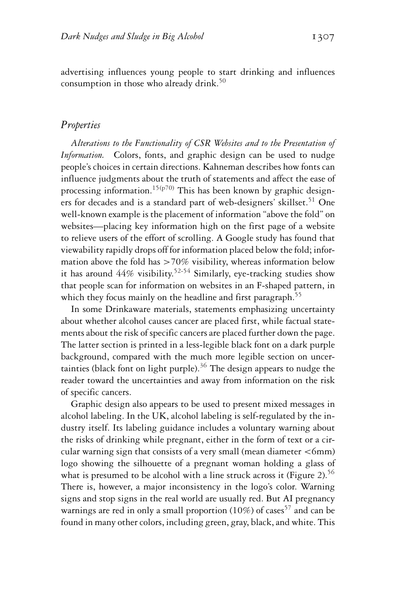advertising influences young people to start drinking and influences consumption in those who already drink.<sup>50</sup>

#### *Properties*

*Alterations to the Functionality of CSR Websites and to the Presentation of Information.* Colors, fonts, and graphic design can be used to nudge people's choices in certain directions. Kahneman describes how fonts can influence judgments about the truth of statements and affect the ease of processing information.<sup>15(p70)</sup> This has been known by graphic designers for decades and is a standard part of web-designers' skillset.<sup>51</sup> One well-known example is the placement of information "above the fold" on websites—placing key information high on the first page of a website to relieve users of the effort of scrolling. A Google study has found that viewability rapidly drops off for information placed below the fold; information above the fold has *>*70% visibility, whereas information below it has around  $44\%$  visibility.<sup>52-54</sup> Similarly, eye-tracking studies show that people scan for information on websites in an F-shaped pattern, in which they focus mainly on the headline and first paragraph.<sup>55</sup>

In some Drinkaware materials, statements emphasizing uncertainty about whether alcohol causes cancer are placed first, while factual statements about the risk of specific cancers are placed further down the page. The latter section is printed in a less-legible black font on a dark purple background, compared with the much more legible section on uncertainties (black font on light purple).<sup>36</sup> The design appears to nudge the reader toward the uncertainties and away from information on the risk of specific cancers.

Graphic design also appears to be used to present mixed messages in alcohol labeling. In the UK, alcohol labeling is self-regulated by the industry itself. Its labeling guidance includes a voluntary warning about the risks of drinking while pregnant, either in the form of text or a circular warning sign that consists of a very small (mean diameter *<*6mm) logo showing the silhouette of a pregnant woman holding a glass of what is presumed to be alcohol with a line struck across it (Figure 2).<sup>56</sup> There is, however, a major inconsistency in the logo's color. Warning signs and stop signs in the real world are usually red. But AI pregnancy warnings are red in only a small proportion (10%) of cases<sup>57</sup> and can be found in many other colors, including green, gray, black, and white. This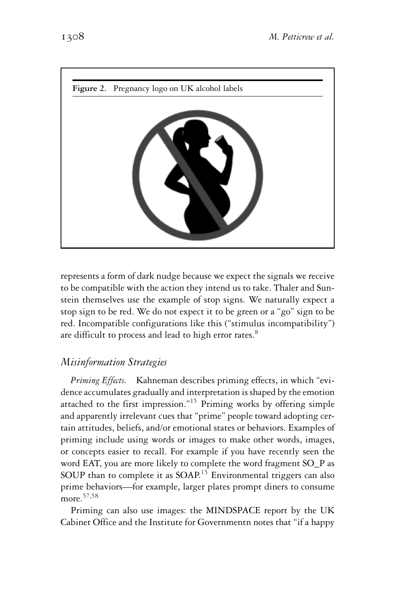

represents a form of dark nudge because we expect the signals we receive to be compatible with the action they intend us to take. Thaler and Sunstein themselves use the example of stop signs. We naturally expect a stop sign to be red. We do not expect it to be green or a "go" sign to be red. Incompatible configurations like this ("stimulus incompatibility") are difficult to process and lead to high error rates.<sup>8</sup>

## *Misinformation Strategies*

*Priming Effects.* Kahneman describes priming effects, in which "evidence accumulates gradually and interpretation is shaped by the emotion attached to the first impression."15 Priming works by offering simple and apparently irrelevant cues that "prime" people toward adopting certain attitudes, beliefs, and/or emotional states or behaviors. Examples of priming include using words or images to make other words, images, or concepts easier to recall. For example if you have recently seen the word EAT, you are more likely to complete the word fragment SO\_P as SOUP than to complete it as  $SOR<sup>15</sup>$  Environmental triggers can also prime behaviors—for example, larger plates prompt diners to consume more.<sup>57,58</sup>

Priming can also use images: the MINDSPACE report by the UK Cabinet Office and the Institute for Governmentn notes that "if a happy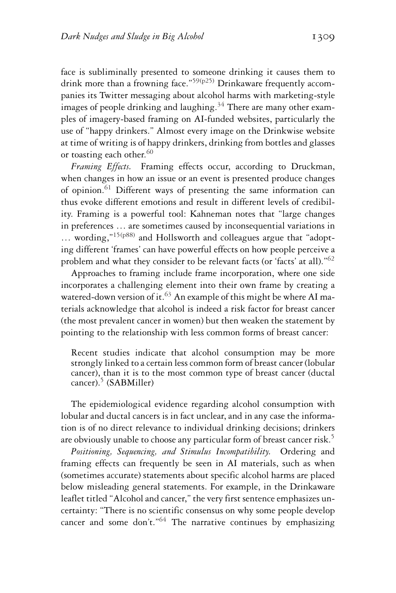face is subliminally presented to someone drinking it causes them to drink more than a frowning face."<sup>59(p25)</sup> Drinkaware frequently accompanies its Twitter messaging about alcohol harms with marketing-style images of people drinking and laughing.<sup>34</sup> There are many other examples of imagery-based framing on AI-funded websites, particularly the use of "happy drinkers." Almost every image on the Drinkwise website at time of writing is of happy drinkers, drinking from bottles and glasses or toasting each other.<sup>60</sup>

*Framing Effects.* Framing effects occur, according to Druckman, when changes in how an issue or an event is presented produce changes of opinion.<sup>61</sup> Different ways of presenting the same information can thus evoke different emotions and result in different levels of credibility. Framing is a powerful tool: Kahneman notes that "large changes in preferences … are sometimes caused by inconsequential variations in ... wording,"<sup>15(p88)</sup> and Hollsworth and colleagues argue that "adopting different 'frames' can have powerful effects on how people perceive a problem and what they consider to be relevant facts (or 'facts' at all)."<sup>62</sup>

Approaches to framing include frame incorporation, where one side incorporates a challenging element into their own frame by creating a watered-down version of it.<sup>63</sup> An example of this might be where AI materials acknowledge that alcohol is indeed a risk factor for breast cancer (the most prevalent cancer in women) but then weaken the statement by pointing to the relationship with less common forms of breast cancer:

Recent studies indicate that alcohol consumption may be more strongly linked to a certain less common form of breast cancer (lobular cancer), than it is to the most common type of breast cancer (ductal cancer).<sup>5</sup> (SABMiller)

The epidemiological evidence regarding alcohol consumption with lobular and ductal cancers is in fact unclear, and in any case the information is of no direct relevance to individual drinking decisions; drinkers are obviously unable to choose any particular form of breast cancer risk.<sup>5</sup>

*Positioning, Sequencing, and Stimulus Incompatibility.* Ordering and framing effects can frequently be seen in AI materials, such as when (sometimes accurate) statements about specific alcohol harms are placed below misleading general statements. For example, in the Drinkaware leaflet titled "Alcohol and cancer," the very first sentence emphasizes uncertainty: "There is no scientific consensus on why some people develop cancer and some don't." $64$  The narrative continues by emphasizing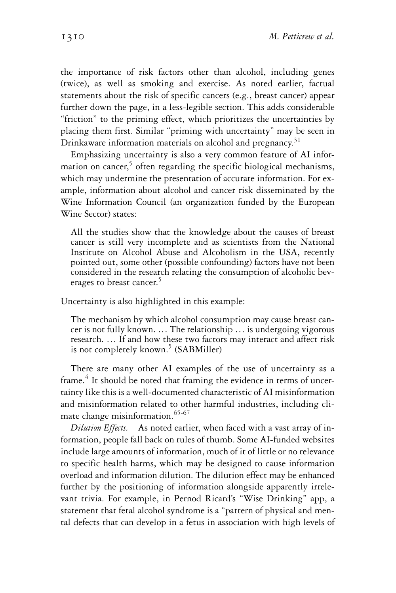the importance of risk factors other than alcohol, including genes (twice), as well as smoking and exercise. As noted earlier, factual statements about the risk of specific cancers (e.g., breast cancer) appear further down the page, in a less-legible section. This adds considerable "friction" to the priming effect, which prioritizes the uncertainties by placing them first. Similar "priming with uncertainty" may be seen in Drinkaware information materials on alcohol and pregnancy.<sup>31</sup>

Emphasizing uncertainty is also a very common feature of AI information on cancer, $5$  often regarding the specific biological mechanisms, which may undermine the presentation of accurate information. For example, information about alcohol and cancer risk disseminated by the Wine Information Council (an organization funded by the European Wine Sector) states:

All the studies show that the knowledge about the causes of breast cancer is still very incomplete and as scientists from the National Institute on Alcohol Abuse and Alcoholism in the USA, recently pointed out, some other (possible confounding) factors have not been considered in the research relating the consumption of alcoholic beverages to breast cancer.<sup>5</sup>

Uncertainty is also highlighted in this example:

The mechanism by which alcohol consumption may cause breast cancer is not fully known. … The relationship … is undergoing vigorous research. … If and how these two factors may interact and affect risk is not completely known.<sup>5</sup> (SABMiller)

There are many other AI examples of the use of uncertainty as a frame.<sup>4</sup> It should be noted that framing the evidence in terms of uncertainty like this is a well-documented characteristic of AI misinformation and misinformation related to other harmful industries, including climate change misinformation.<sup>65-67</sup>

*Dilution Effects.* As noted earlier, when faced with a vast array of information, people fall back on rules of thumb. Some AI-funded websites include large amounts of information, much of it of little or no relevance to specific health harms, which may be designed to cause information overload and information dilution. The dilution effect may be enhanced further by the positioning of information alongside apparently irrelevant trivia. For example, in Pernod Ricard's "Wise Drinking" app, a statement that fetal alcohol syndrome is a "pattern of physical and mental defects that can develop in a fetus in association with high levels of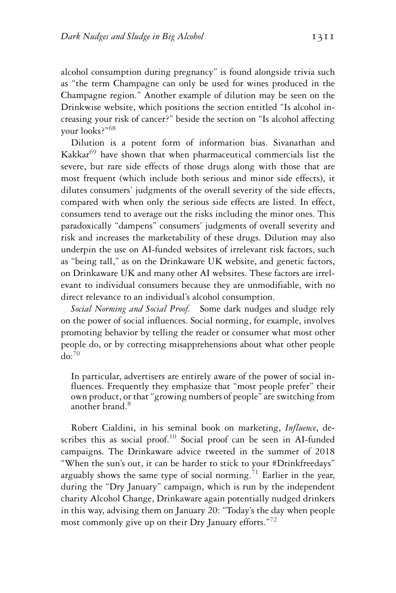alcohol consumption during pregnancy" is found alongside trivia such as "the term Champagne can only be used for wines produced in the Champagne region." Another example of dilution may be seen on the Drinkwise website, which positions the section entitled "Is alcohol increasing your risk of cancer?" beside the section on "Is alcohol affecting your looks?"68

Dilution is a potent form of information bias. Sivanathan and Kakkar<sup>69</sup> have shown that when pharmaceutical commercials list the severe, but rare side effects of those drugs along with those that are most frequent (which include both serious and minor side effects), it dilutes consumers' judgments of the overall severity of the side effects, compared with when only the serious side effects are listed. In effect, consumers tend to average out the risks including the minor ones. This paradoxically "dampens" consumers' judgments of overall severity and risk and increases the marketability of these drugs. Dilution may also underpin the use on AI-funded websites of irrelevant risk factors, such as "being tall," as on the Drinkaware UK website, and genetic factors, on Drinkaware UK and many other AI websites. These factors are irrelevant to individual consumers because they are unmodifiable, with no direct relevance to an individual's alcohol consumption.

*Social Norming and Social Proof.* Some dark nudges and sludge rely on the power of social influences. Social norming, for example, involves promoting behavior by telling the reader or consumer what most other people do, or by correcting misapprehensions about what other people  $d^{\alpha^{70}}$ 

In particular, advertisers are entirely aware of the power of social influences. Frequently they emphasize that "most people prefer" their own product, or that "growing numbers of people" are switching from another brand.<sup>8</sup>

Robert Cialdini, in his seminal book on marketing, *Influence*, describes this as social proof.<sup>10</sup> Social proof can be seen in AI-funded campaigns. The Drinkaware advice tweeted in the summer of 2018 "When the sun's out, it can be harder to stick to your #Drinkfreedays" arguably shows the same type of social norming.<sup>71</sup> Earlier in the year, during the "Dry January" campaign, which is run by the independent charity Alcohol Change, Drinkaware again potentially nudged drinkers in this way, advising them on January 20: "Today's the day when people most commonly give up on their Dry January efforts."<sup>72</sup>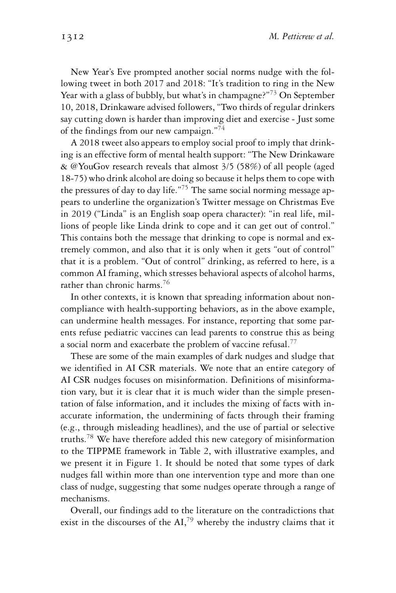New Year's Eve prompted another social norms nudge with the following tweet in both 2017 and 2018: "It's tradition to ring in the New Year with a glass of bubbly, but what's in champagne?"<sup>73</sup> On September 10, 2018, Drinkaware advised followers, "Two thirds of regular drinkers say cutting down is harder than improving diet and exercise - Just some of the findings from our new campaign."<sup>74</sup>

A 2018 tweet also appears to employ social proof to imply that drinking is an effective form of mental health support: "The New Drinkaware & @YouGov research reveals that almost 3/5 (58%) of all people (aged 18-75) who drink alcohol are doing so because it helps them to cope with the pressures of day to day life."<sup>75</sup> The same social norming message appears to underline the organization's Twitter message on Christmas Eve in 2019 ("Linda" is an English soap opera character): "in real life, millions of people like Linda drink to cope and it can get out of control." This contains both the message that drinking to cope is normal and extremely common, and also that it is only when it gets "out of control" that it is a problem. "Out of control" drinking, as referred to here, is a common AI framing, which stresses behavioral aspects of alcohol harms, rather than chronic harms.<sup>76</sup>

In other contexts, it is known that spreading information about noncompliance with health-supporting behaviors, as in the above example, can undermine health messages. For instance, reporting that some parents refuse pediatric vaccines can lead parents to construe this as being a social norm and exacerbate the problem of vaccine refusal.<sup>77</sup>

These are some of the main examples of dark nudges and sludge that we identified in AI CSR materials. We note that an entire category of AI CSR nudges focuses on misinformation. Definitions of misinformation vary, but it is clear that it is much wider than the simple presentation of false information, and it includes the mixing of facts with inaccurate information, the undermining of facts through their framing (e.g., through misleading headlines), and the use of partial or selective truths.<sup>78</sup> We have therefore added this new category of misinformation to the TIPPME framework in Table 2, with illustrative examples, and we present it in Figure 1. It should be noted that some types of dark nudges fall within more than one intervention type and more than one class of nudge, suggesting that some nudges operate through a range of mechanisms.

Overall, our findings add to the literature on the contradictions that exist in the discourses of the  $AI^{79}$ , whereby the industry claims that it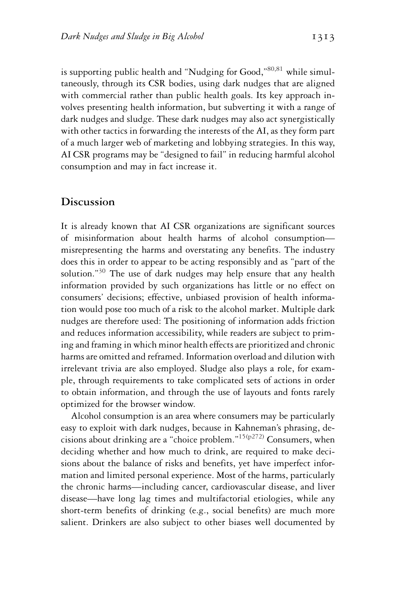is supporting public health and "Nudging for Good,"<sup>80,81</sup> while simultaneously, through its CSR bodies, using dark nudges that are aligned with commercial rather than public health goals. Its key approach involves presenting health information, but subverting it with a range of dark nudges and sludge. These dark nudges may also act synergistically with other tactics in forwarding the interests of the AI, as they form part of a much larger web of marketing and lobbying strategies. In this way, AI CSR programs may be "designed to fail" in reducing harmful alcohol consumption and may in fact increase it.

#### **Discussion**

It is already known that AI CSR organizations are significant sources of misinformation about health harms of alcohol consumption misrepresenting the harms and overstating any benefits. The industry does this in order to appear to be acting responsibly and as "part of the solution."<sup>30</sup> The use of dark nudges may help ensure that any health information provided by such organizations has little or no effect on consumers' decisions; effective, unbiased provision of health information would pose too much of a risk to the alcohol market. Multiple dark nudges are therefore used: The positioning of information adds friction and reduces information accessibility, while readers are subject to priming and framing in which minor health effects are prioritized and chronic harms are omitted and reframed. Information overload and dilution with irrelevant trivia are also employed. Sludge also plays a role, for example, through requirements to take complicated sets of actions in order to obtain information, and through the use of layouts and fonts rarely optimized for the browser window.

Alcohol consumption is an area where consumers may be particularly easy to exploit with dark nudges, because in Kahneman's phrasing, decisions about drinking are a "choice problem."15(p272) Consumers, when deciding whether and how much to drink, are required to make decisions about the balance of risks and benefits, yet have imperfect information and limited personal experience. Most of the harms, particularly the chronic harms—including cancer, cardiovascular disease, and liver disease—have long lag times and multifactorial etiologies, while any short-term benefits of drinking (e.g., social benefits) are much more salient. Drinkers are also subject to other biases well documented by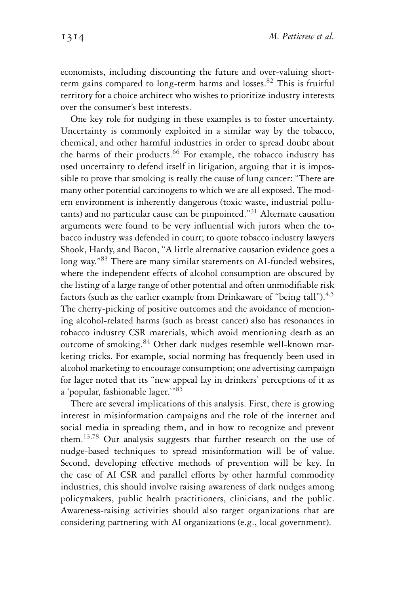economists, including discounting the future and over-valuing shortterm gains compared to long-term harms and losses.<sup>82</sup> This is fruitful territory for a choice architect who wishes to prioritize industry interests over the consumer's best interests.

One key role for nudging in these examples is to foster uncertainty. Uncertainty is commonly exploited in a similar way by the tobacco, chemical, and other harmful industries in order to spread doubt about the harms of their products.<sup>66</sup> For example, the tobacco industry has used uncertainty to defend itself in litigation, arguing that it is impossible to prove that smoking is really the cause of lung cancer: "There are many other potential carcinogens to which we are all exposed. The modern environment is inherently dangerous (toxic waste, industrial pollu $tants)$  and no particular cause can be pinpointed."<sup>31</sup> Alternate causation arguments were found to be very influential with jurors when the tobacco industry was defended in court; to quote tobacco industry lawyers Shook, Hardy, and Bacon, "A little alternative causation evidence goes a long way."<sup>83</sup> There are many similar statements on AI-funded websites, where the independent effects of alcohol consumption are obscured by the listing of a large range of other potential and often unmodifiable risk factors (such as the earlier example from Drinkaware of "being tall").<sup>4,5</sup> The cherry-picking of positive outcomes and the avoidance of mentioning alcohol-related harms (such as breast cancer) also has resonances in tobacco industry CSR materials, which avoid mentioning death as an outcome of smoking.<sup>84</sup> Other dark nudges resemble well-known marketing tricks. For example, social norming has frequently been used in alcohol marketing to encourage consumption; one advertising campaign for lager noted that its "new appeal lay in drinkers' perceptions of it as a 'popular, fashionable lager.'"85

There are several implications of this analysis. First, there is growing interest in misinformation campaigns and the role of the internet and social media in spreading them, and in how to recognize and prevent them.13,78 Our analysis suggests that further research on the use of nudge-based techniques to spread misinformation will be of value. Second, developing effective methods of prevention will be key. In the case of AI CSR and parallel efforts by other harmful commodity industries, this should involve raising awareness of dark nudges among policymakers, public health practitioners, clinicians, and the public. Awareness-raising activities should also target organizations that are considering partnering with AI organizations (e.g., local government).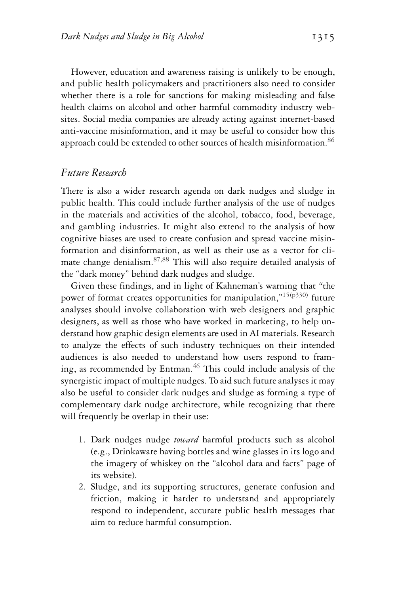However, education and awareness raising is unlikely to be enough, and public health policymakers and practitioners also need to consider whether there is a role for sanctions for making misleading and false health claims on alcohol and other harmful commodity industry websites. Social media companies are already acting against internet-based anti-vaccine misinformation, and it may be useful to consider how this approach could be extended to other sources of health misinformation.<sup>86</sup>

#### *Future Research*

There is also a wider research agenda on dark nudges and sludge in public health. This could include further analysis of the use of nudges in the materials and activities of the alcohol, tobacco, food, beverage, and gambling industries. It might also extend to the analysis of how cognitive biases are used to create confusion and spread vaccine misinformation and disinformation, as well as their use as a vector for climate change denialism.87,88 This will also require detailed analysis of the "dark money" behind dark nudges and sludge.

Given these findings, and in light of Kahneman's warning that *"*the power of format creates opportunities for manipulation,"15(p330) future analyses should involve collaboration with web designers and graphic designers, as well as those who have worked in marketing, to help understand how graphic design elements are used in AI materials. Research to analyze the effects of such industry techniques on their intended audiences is also needed to understand how users respond to framing, as recommended by Entman.<sup>46</sup> This could include analysis of the synergistic impact of multiple nudges. To aid such future analyses it may also be useful to consider dark nudges and sludge as forming a type of complementary dark nudge architecture, while recognizing that there will frequently be overlap in their use:

- 1. Dark nudges nudge *toward* harmful products such as alcohol (e.g., Drinkaware having bottles and wine glasses in its logo and the imagery of whiskey on the "alcohol data and facts" page of its website).
- 2. Sludge, and its supporting structures, generate confusion and friction, making it harder to understand and appropriately respond to independent, accurate public health messages that aim to reduce harmful consumption.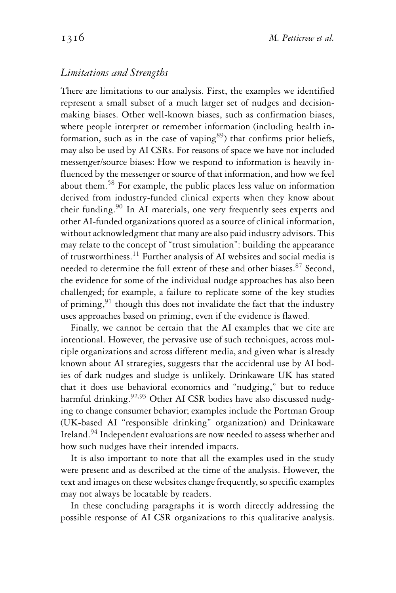### *Limitations and Strengths*

There are limitations to our analysis. First, the examples we identified represent a small subset of a much larger set of nudges and decisionmaking biases. Other well-known biases, such as confirmation biases, where people interpret or remember information (including health information, such as in the case of vaping<sup>89</sup>) that confirms prior beliefs, may also be used by AI CSRs. For reasons of space we have not included messenger/source biases: How we respond to information is heavily influenced by the messenger or source of that information, and how we feel about them.58 For example, the public places less value on information derived from industry-funded clinical experts when they know about their funding.<sup>90</sup> In AI materials, one very frequently sees experts and other AI-funded organizations quoted as a source of clinical information, without acknowledgment that many are also paid industry advisors. This may relate to the concept of "trust simulation": building the appearance of trustworthiness.<sup>11</sup> Further analysis of AI websites and social media is needed to determine the full extent of these and other biases.<sup>87</sup> Second, the evidence for some of the individual nudge approaches has also been challenged; for example, a failure to replicate some of the key studies of priming,<sup>91</sup> though this does not invalidate the fact that the industry uses approaches based on priming, even if the evidence is flawed.

Finally, we cannot be certain that the AI examples that we cite are intentional. However, the pervasive use of such techniques, across multiple organizations and across different media, and given what is already known about AI strategies, suggests that the accidental use by AI bodies of dark nudges and sludge is unlikely. Drinkaware UK has stated that it does use behavioral economics and "nudging," but to reduce harmful drinking.<sup>92,93</sup> Other AI CSR bodies have also discussed nudging to change consumer behavior; examples include the Portman Group (UK-based AI "responsible drinking" organization) and Drinkaware Ireland.<sup>94</sup> Independent evaluations are now needed to assess whether and how such nudges have their intended impacts.

It is also important to note that all the examples used in the study were present and as described at the time of the analysis. However, the text and images on these websites change frequently, so specific examples may not always be locatable by readers.

In these concluding paragraphs it is worth directly addressing the possible response of AI CSR organizations to this qualitative analysis.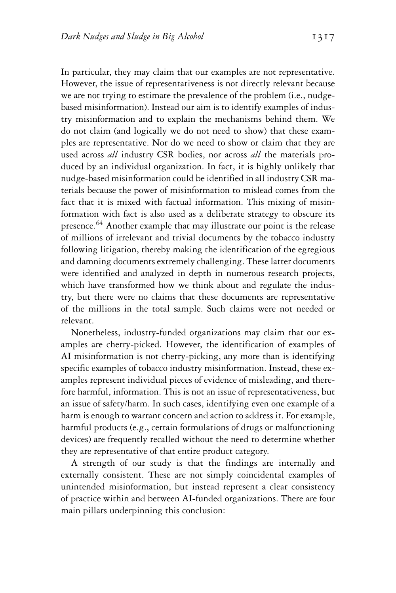In particular, they may claim that our examples are not representative. However, the issue of representativeness is not directly relevant because we are not trying to estimate the prevalence of the problem (i.e., nudgebased misinformation). Instead our aim is to identify examples of industry misinformation and to explain the mechanisms behind them. We do not claim (and logically we do not need to show) that these examples are representative. Nor do we need to show or claim that they are used across *all* industry CSR bodies, nor across *all* the materials produced by an individual organization. In fact, it is highly unlikely that nudge-based misinformation could be identified in all industry CSR materials because the power of misinformation to mislead comes from the fact that it is mixed with factual information. This mixing of misinformation with fact is also used as a deliberate strategy to obscure its presence.64 Another example that may illustrate our point is the release of millions of irrelevant and trivial documents by the tobacco industry following litigation, thereby making the identification of the egregious and damning documents extremely challenging. These latter documents were identified and analyzed in depth in numerous research projects, which have transformed how we think about and regulate the industry, but there were no claims that these documents are representative of the millions in the total sample. Such claims were not needed or relevant.

Nonetheless, industry-funded organizations may claim that our examples are cherry-picked. However, the identification of examples of AI misinformation is not cherry-picking, any more than is identifying specific examples of tobacco industry misinformation. Instead, these examples represent individual pieces of evidence of misleading, and therefore harmful, information. This is not an issue of representativeness, but an issue of safety/harm. In such cases, identifying even one example of a harm is enough to warrant concern and action to address it. For example, harmful products (e.g., certain formulations of drugs or malfunctioning devices) are frequently recalled without the need to determine whether they are representative of that entire product category.

A strength of our study is that the findings are internally and externally consistent. These are not simply coincidental examples of unintended misinformation, but instead represent a clear consistency of practice within and between AI-funded organizations. There are four main pillars underpinning this conclusion: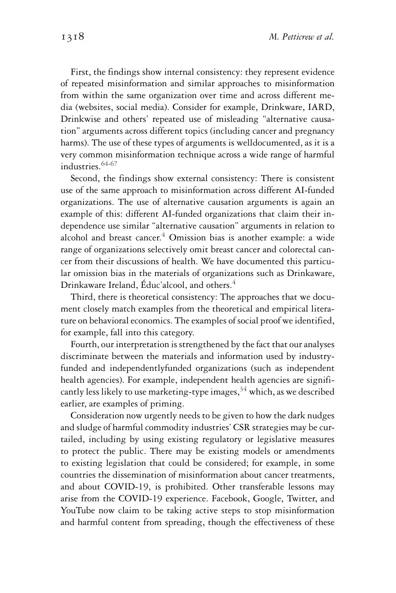First, the findings show internal consistency: they represent evidence of repeated misinformation and similar approaches to misinformation from within the same organization over time and across different media (websites, social media). Consider for example, Drinkware, IARD, Drinkwise and others' repeated use of misleading "alternative causation" arguments across different topics (including cancer and pregnancy harms). The use of these types of arguments is welldocumented, as it is a very common misinformation technique across a wide range of harmful industries.64-67

Second, the findings show external consistency: There is consistent use of the same approach to misinformation across different AI-funded organizations. The use of alternative causation arguments is again an example of this: different AI-funded organizations that claim their independence use similar "alternative causation" arguments in relation to alcohol and breast cancer.<sup>4</sup> Omission bias is another example: a wide range of organizations selectively omit breast cancer and colorectal cancer from their discussions of health. We have documented this particular omission bias in the materials of organizations such as Drinkaware, Drinkaware Ireland, Éduc'alcool, and others.<sup>4</sup>

Third, there is theoretical consistency: The approaches that we document closely match examples from the theoretical and empirical literature on behavioral economics. The examples of social proof we identified, for example, fall into this category.

Fourth, our interpretation is strengthened by the fact that our analyses discriminate between the materials and information used by industryfunded and independentlyfunded organizations (such as independent health agencies). For example, independent health agencies are significantly less likely to use marketing-type images,  $34$  which, as we described earlier, are examples of priming.

Consideration now urgently needs to be given to how the dark nudges and sludge of harmful commodity industries' CSR strategies may be curtailed, including by using existing regulatory or legislative measures to protect the public. There may be existing models or amendments to existing legislation that could be considered; for example, in some countries the dissemination of misinformation about cancer treatments, and about COVID-19, is prohibited. Other transferable lessons may arise from the COVID-19 experience. Facebook, Google, Twitter, and YouTube now claim to be taking active steps to stop misinformation and harmful content from spreading, though the effectiveness of these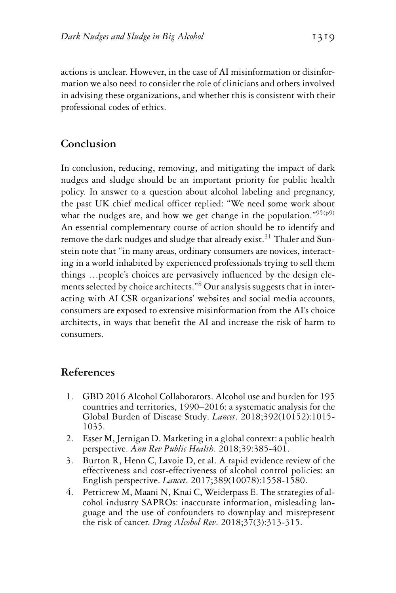actions is unclear. However, in the case of AI misinformation or disinformation we also need to consider the role of clinicians and others involved in advising these organizations, and whether this is consistent with their professional codes of ethics.

## **Conclusion**

In conclusion, reducing, removing, and mitigating the impact of dark nudges and sludge should be an important priority for public health policy. In answer to a question about alcohol labeling and pregnancy, the past UK chief medical officer replied: "We need some work about what the nudges are, and how we get change in the population."<sup>95(p9)</sup> An essential complementary course of action should be to identify and remove the dark nudges and sludge that already exist.<sup>31</sup> Thaler and Sunstein note that "in many areas, ordinary consumers are novices, interacting in a world inhabited by experienced professionals trying to sell them things …people's choices are pervasively influenced by the design elements selected by choice architects."8 Our analysis suggests that in interacting with AI CSR organizations' websites and social media accounts, consumers are exposed to extensive misinformation from the AI's choice architects, in ways that benefit the AI and increase the risk of harm to consumers.

## **References**

- 1. GBD 2016 Alcohol Collaborators. Alcohol use and burden for 195 countries and territories, 1990–2016: a systematic analysis for the Global Burden of Disease Study. *Lancet*. 2018;392(10152):1015- 1035.
- 2. Esser M, Jernigan D. Marketing in a global context: a public health perspective. *Ann Rev Public Health*. 2018;39:385-401.
- 3. Burton R, Henn C, Lavoie D, et al. A rapid evidence review of the effectiveness and cost-effectiveness of alcohol control policies: an English perspective. *Lancet*. 2017;389(10078):1558-1580.
- 4. Petticrew M, Maani N, Knai C, Weiderpass E. The strategies of alcohol industry SAPROs: inaccurate information, misleading language and the use of confounders to downplay and misrepresent the risk of cancer. *Drug Alcohol Rev*. 2018;37(3):313-315.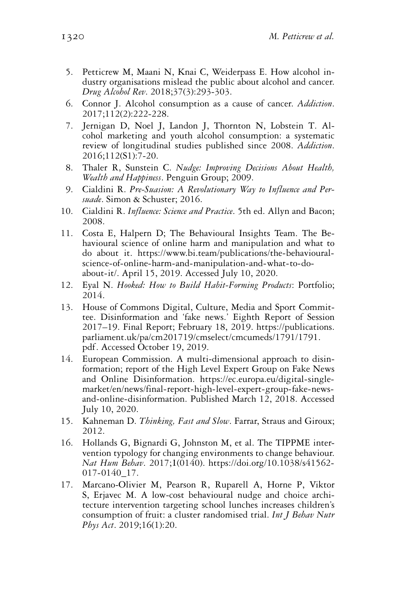- 5. Petticrew M, Maani N, Knai C, Weiderpass E. How alcohol industry organisations mislead the public about alcohol and cancer. *Drug Alcohol Rev*. 2018;37(3):293-303.
- 6. Connor J. Alcohol consumption as a cause of cancer. *Addiction*. 2017;112(2):222-228.
- 7. Jernigan D, Noel J, Landon J, Thornton N, Lobstein T. Alcohol marketing and youth alcohol consumption: a systematic review of longitudinal studies published since 2008. *Addiction*. 2016;112(S1):7-20.
- 8. Thaler R, Sunstein C. *Nudge: Improving Decisions About Health, Wealth and Happiness*. Penguin Group; 2009.
- 9. Cialdini R. *Pre-Suasion: A Revolutionary Way to Influence and Persuade*. Simon & Schuster; 2016.
- 10. Cialdini R. *Influence: Science and Practice*. 5th ed. Allyn and Bacon; 2008.
- 11. Costa E, Halpern D; The Behavioural Insights Team. The Behavioural science of online harm and manipulation and what to do about it. [https://www.bi.team/publications/the-behavioural](https://www.bi.team/publications/the-behavioural-science-of-online-harm-and-manipulation-and-what-to-do-about-it/)[science-of-online-harm-and-manipulation-and-what-to-do](https://www.bi.team/publications/the-behavioural-science-of-online-harm-and-manipulation-and-what-to-do-about-it/)[about-it/.](https://www.bi.team/publications/the-behavioural-science-of-online-harm-and-manipulation-and-what-to-do-about-it/) April 15, 2019. Accessed July 10, 2020.
- 12. Eyal N. *Hooked: How to Build Habit-Forming Products*: Portfolio; 2014.
- 13. House of Commons Digital, Culture, Media and Sport Committee. Disinformation and 'fake news.' Eighth Report of Session 2017–19. Final Report; February 18, 2019. [https://publications.](https://publications.parliament.uk/pa/cm201719/cmselect/cmcumeds/1791/1791.pdf) [parliament.uk/pa/cm201719/cmselect/cmcumeds/1791/1791.](https://publications.parliament.uk/pa/cm201719/cmselect/cmcumeds/1791/1791.pdf) [pdf.](https://publications.parliament.uk/pa/cm201719/cmselect/cmcumeds/1791/1791.pdf) Accessed October 19, 2019.
- 14. European Commission. A multi-dimensional approach to disinformation; report of the High Level Expert Group on Fake News and Online Disinformation. [https://ec.europa.eu/digital-single](https://ec.europa.eu/digital-single-market/en/news/final-report-high-level-expert-group-fake-news-and-online-disinformation)[market/en/news/final-report-high-level-expert-group-fake-news](https://ec.europa.eu/digital-single-market/en/news/final-report-high-level-expert-group-fake-news-and-online-disinformation)[and-online-disinformation.](https://ec.europa.eu/digital-single-market/en/news/final-report-high-level-expert-group-fake-news-and-online-disinformation) Published March 12, 2018. Accessed July 10, 2020.
- 15. Kahneman D. *Thinking, Fast and Slow*. Farrar, Straus and Giroux; 2012.
- 16. Hollands G, Bignardi G, Johnston M, et al. The TIPPME intervention typology for changing environments to change behaviour. *Nat Hum Behav*. 2017;**1**(0140). [https://doi.org/10.1038/s41562-](https://doi.org/10.1038/s41562-017-0140_17) [017-0140\\_17.](https://doi.org/10.1038/s41562-017-0140_17)
- 17. Marcano-Olivier M, Pearson R, Ruparell A, Horne P, Viktor S, Erjavec M. A low-cost behavioural nudge and choice architecture intervention targeting school lunches increases children's consumption of fruit: a cluster randomised trial. *Int J Behav Nutr Phys Act*. 2019;16(1):20.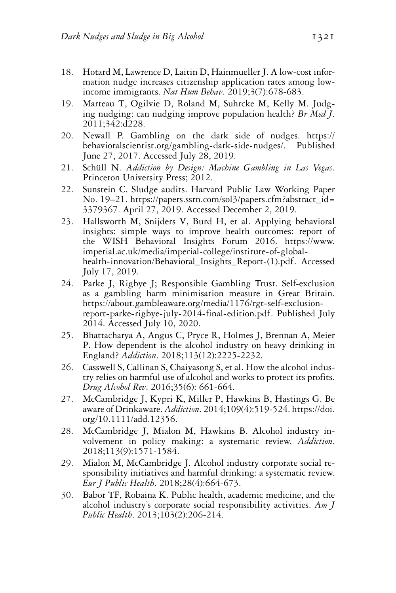- 18. Hotard M, Lawrence D, Laitin D, Hainmueller J. A low-cost information nudge increases citizenship application rates among lowincome immigrants. *Nat Hum Behav*. 2019;3(7):678-683.
- 19. Marteau T, Ogilvie D, Roland M, Suhrcke M, Kelly M. Judging nudging: can nudging improve population health? *Br Med J*. 2011;342:d228.
- 20. Newall P. Gambling on the dark side of nudges. [https://](https://behavioralscientist.org/gambling-dark-side-nudges/) [behavioralscientist.org/gambling-dark-side-nudges/.](https://behavioralscientist.org/gambling-dark-side-nudges/) Published June 27, 2017. Accessed July 28, 2019.
- 21. Schüll N. *Addiction by Design: Machine Gambling in Las Vegas*. Princeton University Press; 2012.
- 22. Sunstein C. Sludge audits. Harvard Public Law Working Paper No. 19–21. [https://papers.ssrn.com/sol3/papers.cfm?abstract\\_id=](https://papers.ssrn.com/sol3/papers.cfm?abstract_id=3379367) [3379367.](https://papers.ssrn.com/sol3/papers.cfm?abstract_id=3379367) April 27, 2019. Accessed December 2, 2019.
- 23. Hallsworth M, Snijders V, Burd H, et al. Applying behavioral insights: simple ways to improve health outcomes: report of the WISH Behavioral Insights Forum 2016. [https://www.](https://www.imperial.ac.uk/media/imperial-college/institute-of-global-health-innovation/Behavioral_Insights_Report-(1).pdf) [imperial.ac.uk/media/imperial-college/institute-of-global](https://www.imperial.ac.uk/media/imperial-college/institute-of-global-health-innovation/Behavioral_Insights_Report-(1).pdf)[health-innovation/Behavioral\\_Insights\\_Report-\(1\).pdf.](https://www.imperial.ac.uk/media/imperial-college/institute-of-global-health-innovation/Behavioral_Insights_Report-(1).pdf) Accessed July 17, 2019.
- 24. Parke J, Rigbye J; Responsible Gambling Trust. Self-exclusion as a gambling harm minimisation measure in Great Britain. [https://about.gambleaware.org/media/1176/rgt-self-exclusion](https://about.gambleaware.org/media/1176/rgt-self-exclusion-report-parke-rigbye-july-2014-final-edition.pdf)[report-parke-rigbye-july-2014-final-edition.pdf.](https://about.gambleaware.org/media/1176/rgt-self-exclusion-report-parke-rigbye-july-2014-final-edition.pdf) Published July 2014. Accessed July 10, 2020.
- 25. Bhattacharya A, Angus C, Pryce R, Holmes J, Brennan A, Meier P. How dependent is the alcohol industry on heavy drinking in England? *Addiction*. 2018;113(12):2225-2232.
- 26. Casswell S, Callinan S, Chaiyasong S, et al. How the alcohol industry relies on harmful use of alcohol and works to protect its profits. *Drug Alcohol Rev*. 2016;35(6): 661-664.
- 27. McCambridge J, Kypri K, Miller P, Hawkins B, Hastings G. Be aware of Drinkaware. *Addiction*. 2014;109(4):519-524. [https://doi.](https://doi.org/10.1111/add.12356) [org/10.1111/add.12356.](https://doi.org/10.1111/add.12356)
- 28. McCambridge J, Mialon M, Hawkins B. Alcohol industry involvement in policy making: a systematic review. *Addiction*. 2018;113(9):1571-1584.
- 29. Mialon M, McCambridge J. Alcohol industry corporate social responsibility initiatives and harmful drinking: a systematic review. *Eur J Public Health*. 2018;28(4):664-673.
- 30. Babor TF, Robaina K. Public health, academic medicine, and the alcohol industry's corporate social responsibility activities. *Am J Public Health*. 2013;103(2):206-214.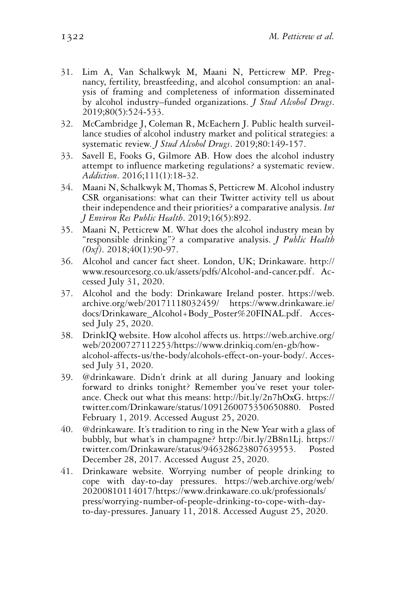- 31. Lim A, Van Schalkwyk M, Maani N, Petticrew MP. Pregnancy, fertility, breastfeeding, and alcohol consumption: an analysis of framing and completeness of information disseminated by alcohol industry–funded organizations. *J Stud Alcohol Drugs*. 2019;80(5):524-533.
- 32. McCambridge J, Coleman R, McEachern J. Public health surveillance studies of alcohol industry market and political strategies: a systematic review. *J Stud Alcohol Drugs*. 2019;80:149-157.
- 33. Savell E, Fooks G, Gilmore AB. How does the alcohol industry attempt to influence marketing regulations? a systematic review. *Addiction*. 2016;111(1):18-32.
- 34. Maani N, Schalkwyk M, Thomas S, Petticrew M. Alcohol industry CSR organisations: what can their Twitter activity tell us about their independence and their priorities? a comparative analysis. *Int J Environ Res Public Health*. 2019;16(5):892.
- 35. Maani N, Petticrew M. What does the alcohol industry mean by "responsible drinking"? a comparative analysis. *J Public Health (Oxf)*. 2018;40(1):90-97.
- 36. Alcohol and cancer fact sheet. London, UK; Drinkaware. [http://](http://www.resourcesorg.co.uk/assets/pdfs/Alcohol-and-cancer.pdf) [www.resourcesorg.co.uk/assets/pdfs/Alcohol-and-cancer.pdf.](http://www.resourcesorg.co.uk/assets/pdfs/Alcohol-and-cancer.pdf) Accessed July 31, 2020.
- 37. Alcohol and the body: Drinkaware Ireland poster. [https://web.](https://web.archive.org/web/20171118032459/) [archive.org/web/20171118032459/](https://web.archive.org/web/20171118032459/) [https://www.drinkaware.ie/](https://www.drinkaware.ie/docs/Drinkaware_Alcohol+Body_Poster%20FINAL.pdf) [docs/Drinkaware\\_Alcohol+Body\\_Poster%20FINAL.pdf.](https://www.drinkaware.ie/docs/Drinkaware_Alcohol+Body_Poster%20FINAL.pdf) Accessed July 25, 2020.
- 38. DrinkIQ website. How alcohol affects us. [https://web.archive.org/](https://web.archive.org/web/20200727112253/https://www.drinkiq.com/en-gb/how-alcohol-affects-us/the-body/alcohols-effect-on-your-body/) [web/20200727112253/https://www.drinkiq.com/en-gb/how](https://web.archive.org/web/20200727112253/https://www.drinkiq.com/en-gb/how-alcohol-affects-us/the-body/alcohols-effect-on-your-body/)[alcohol-affects-us/the-body/alcohols-effect-on-your-body/.](https://web.archive.org/web/20200727112253/https://www.drinkiq.com/en-gb/how-alcohol-affects-us/the-body/alcohols-effect-on-your-body/) Accessed July 31, 2020.
- 39. @drinkaware. Didn't drink at all during January and looking forward to drinks tonight? Remember you've reset your tolerance. Check out what this means: [http://bit.ly/2n7hOxG.](http://bit.ly/2n7hOxG) [https://](https://twitter.com/Drinkaware/status/1091260075350650880) [twitter.com/Drinkaware/status/1091260075350650880.](https://twitter.com/Drinkaware/status/1091260075350650880) Posted February 1, 2019. Accessed August 25, 2020.
- 40. @drinkaware. It's tradition to ring in the New Year with a glass of bubbly, but what's in champagne? [http://bit.ly/2B8n1Lj.](http://bit.ly/2B8n1Lj) [https://](https://twitter.com/Drinkaware/status/946328623807639553) [twitter.com/Drinkaware/status/946328623807639553.](https://twitter.com/Drinkaware/status/946328623807639553) Posted December 28, 2017. Accessed August 25, 2020.
- 41. Drinkaware website. Worrying number of people drinking to cope with day-to-day pressures. [https://web.archive.org/web/](https://web.archive.org/web/20200810114017/https://www.drinkaware.co.uk/professionals/press/worrying-number-of-people-drinking-to-cope-with-day-to-day-pressures) [20200810114017/https://www.drinkaware.co.uk/professionals/](https://web.archive.org/web/20200810114017/https://www.drinkaware.co.uk/professionals/press/worrying-number-of-people-drinking-to-cope-with-day-to-day-pressures) [press/worrying-number-of-people-drinking-to-cope-with-day](https://web.archive.org/web/20200810114017/https://www.drinkaware.co.uk/professionals/press/worrying-number-of-people-drinking-to-cope-with-day-to-day-pressures)[to-day-pressures.](https://web.archive.org/web/20200810114017/https://www.drinkaware.co.uk/professionals/press/worrying-number-of-people-drinking-to-cope-with-day-to-day-pressures) January 11, 2018. Accessed August 25, 2020.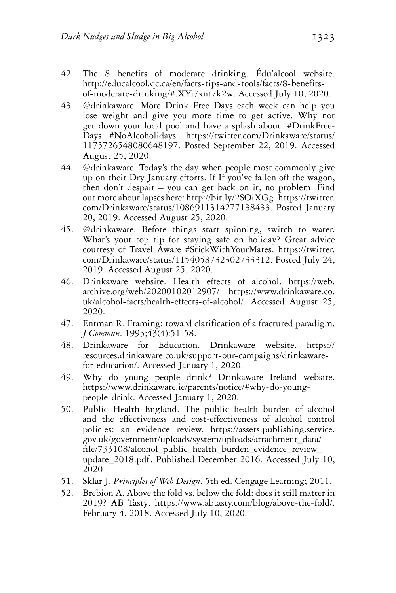- 42. The 8 benefits of moderate drinking. Édu'alcool website. [http://educalcool.qc.ca/en/facts-tips-and-tools/facts/8-benefits](http://educalcool.qc.ca/en/facts-tips-and-tools/facts/8-benefits-of-moderate-drinking/#.XYi7xnt7k2w)[of-moderate-drinking/#.XYi7xnt7k2w.](http://educalcool.qc.ca/en/facts-tips-and-tools/facts/8-benefits-of-moderate-drinking/#.XYi7xnt7k2w) Accessed July 10, 2020.
- 43. @drinkaware. More Drink Free Days each week can help you lose weight and give you more time to get active. Why not get down your local pool and have a splash about. #DrinkFree-Days #NoAlcoholidays. [https://twitter.com/Drinkaware/status/](https://twitter.com/Drinkaware/status/1175726548080648197) [1175726548080648197.](https://twitter.com/Drinkaware/status/1175726548080648197) Posted September 22, 2019. Accessed August 25, 2020.
- 44. @drinkaware. Today's the day when people most commonly give up on their Dry January efforts. If If you've fallen off the wagon, then don't despair – you can get back on it, no problem. Find out more about lapses here: [http://bit.ly/2SOiXGg.](http://bit.ly/2SOiXGg) [https://twitter.](https://twitter.com/Drinkaware/status/1086911314277138433) [com/Drinkaware/status/1086911314277138433.](https://twitter.com/Drinkaware/status/1086911314277138433) Posted January 20, 2019. Accessed August 25, 2020.
- 45. @drinkaware. Before things start spinning, switch to water. What's your top tip for staying safe on holiday? Great advice courtesy of Travel Aware #StickWithYourMates. [https://twitter.](https://twitter.com/Drinkaware/status/1154058732302733312) [com/Drinkaware/status/1154058732302733312.](https://twitter.com/Drinkaware/status/1154058732302733312) Posted July 24, 2019. Accessed August 25, 2020.
- 46. Drinkaware website. Health effects of alcohol. [https://web.](https://web.archive.org/web/20200102012907/) [archive.org/web/20200102012907/](https://web.archive.org/web/20200102012907/) [https://www.drinkaware.co.](https://www.drinkaware.co.uk/alcohol-facts/health-effects-of-alcohol/) [uk/alcohol-facts/health-effects-of-alcohol/.](https://www.drinkaware.co.uk/alcohol-facts/health-effects-of-alcohol/) Accessed August 25, 2020.
- 47. Entman R. Framing: toward clarification of a fractured paradigm. *J Commun*. 1993;43(4):51-58.
- 48. Drinkaware for Education. Drinkaware website. [https://](https://resources.drinkaware.co.uk/support-our-campaigns/drinkaware-for-education/) [resources.drinkaware.co.uk/support-our-campaigns/drinkaware](https://resources.drinkaware.co.uk/support-our-campaigns/drinkaware-for-education/)[for-education/.](https://resources.drinkaware.co.uk/support-our-campaigns/drinkaware-for-education/) Accessed January 1, 2020.
- 49. Why do young people drink? Drinkaware Ireland website. [https://www.drinkaware.ie/parents/notice/#why-do-young](https://www.drinkaware.ie/parents/notice/#why-do-young-people-drink)[people-drink.](https://www.drinkaware.ie/parents/notice/#why-do-young-people-drink) Accessed January 1, 2020.
- 50. Public Health England. The public health burden of alcohol and the effectiveness and cost-effectiveness of alcohol control policies: an evidence review. [https://assets.publishing.service.](https://assets.publishing.service.gov.uk/government/uploads/system/uploads/attachment_data/file/733108/alcohol_public_health_burden_evidence_review_update_2018.pdf) [gov.uk/government/uploads/system/uploads/attachment\\_data/](https://assets.publishing.service.gov.uk/government/uploads/system/uploads/attachment_data/file/733108/alcohol_public_health_burden_evidence_review_update_2018.pdf) file/733108/alcohol\_public\_health\_burden\_evidence\_review [update\\_2018.pdf.](https://assets.publishing.service.gov.uk/government/uploads/system/uploads/attachment_data/file/733108/alcohol_public_health_burden_evidence_review_update_2018.pdf) Published December 2016. Accessed July 10, 2020
- 51. Sklar J. *Principles of Web Design*. 5th ed. Cengage Learning; 2011.
- 52. Brebion A. Above the fold vs. below the fold: does it still matter in 2019? AB Tasty. [https://www.abtasty.com/blog/above-the-fold/.](https://www.abtasty.com/blog/above-the-fold/) February 4, 2018. Accessed July 10, 2020.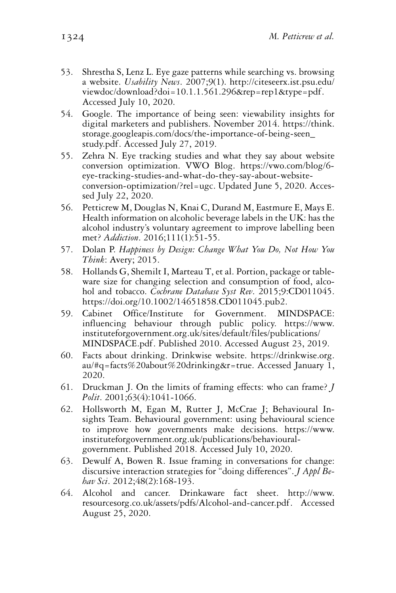- 53. Shrestha S, Lenz L. Eye gaze patterns while searching vs. browsing a website. *Usability News*. 2007;9(1). [http://citeseerx.ist.psu.edu/](http://citeseerx.ist.psu.edu/viewdoc/download?doi=10.1.1.561.296&rep=rep1&type=pdf) [viewdoc/download?doi=10.1.1.561.296&rep=rep1&type=pdf.](http://citeseerx.ist.psu.edu/viewdoc/download?doi=10.1.1.561.296&rep=rep1&type=pdf) Accessed July 10, 2020.
- 54. Google. The importance of being seen: viewability insights for digital marketers and publishers. November 2014. [https://think.](https://think.storage.googleapis.com/docs/the-importance-of-being-seen_study.pdf) [storage.googleapis.com/docs/the-importance-of-being-seen\\_](https://think.storage.googleapis.com/docs/the-importance-of-being-seen_study.pdf) [study.pdf.](https://think.storage.googleapis.com/docs/the-importance-of-being-seen_study.pdf) Accessed July 27, 2019.
- 55. Zehra N. Eye tracking studies and what they say about website conversion optimization. VWO Blog. [https://vwo.com/blog/6](https://vwo.com/blog/6-eye-tracking-studies-and-what-do-they-say-about-website-conversion-optimization/?rel=ugc) [eye-tracking-studies-and-what-do-they-say-about-website](https://vwo.com/blog/6-eye-tracking-studies-and-what-do-they-say-about-website-conversion-optimization/?rel=ugc)[conversion-optimization/?rel=ugc.](https://vwo.com/blog/6-eye-tracking-studies-and-what-do-they-say-about-website-conversion-optimization/?rel=ugc) Updated June 5, 2020. Accessed July 22, 2020.
- 56. Petticrew M, Douglas N, Knai C, Durand M, Eastmure E, Mays E. Health information on alcoholic beverage labels in the UK: has the alcohol industry's voluntary agreement to improve labelling been met? *Addiction*. 2016;111(1):51-55.
- 57. Dolan P. *Happiness by Design: Change What You Do, Not How You Think*: Avery; 2015.
- 58. Hollands G, Shemilt I, Marteau T, et al. Portion, package or tableware size for changing selection and consumption of food, alcohol and tobacco. *Cochrane Database Syst Rev*. 2015;9:CD011045. [https://doi.org/10.1002/14651858.CD011045.pub2.](https://doi.org/10.1002/14651858.CD011045.pub2)
- 59. Cabinet Office/Institute for Government. MINDSPACE: influencing behaviour through public policy. [https://www.](https://www.instituteforgovernment.org.uk/sites/default/files/publications/MINDSPACE.pdf) [instituteforgovernment.org.uk/sites/default/files/publications/](https://www.instituteforgovernment.org.uk/sites/default/files/publications/MINDSPACE.pdf) [MINDSPACE.pdf.](https://www.instituteforgovernment.org.uk/sites/default/files/publications/MINDSPACE.pdf) Published 2010. Accessed August 23, 2019.
- 60. Facts about drinking. Drinkwise website. [https://drinkwise.org.](https://drinkwise.org.au/#q=facts%20about%20drinking&r=true) [au/#q=facts%20about%20drinking&r=true.](https://drinkwise.org.au/#q=facts%20about%20drinking&r=true) Accessed January 1, 2020.
- 61. Druckman J. On the limits of framing effects: who can frame? *J Polit*. 2001;63(4):1041-1066.
- 62. Hollsworth M, Egan M, Rutter J, McCrae J; Behavioural Insights Team. Behavioural government: using behavioural science to improve how governments make decisions. [https://www.](https://www.instituteforgovernment.org.uk/publications/behavioural-government) [instituteforgovernment.org.uk/publications/behavioural](https://www.instituteforgovernment.org.uk/publications/behavioural-government)[government.](https://www.instituteforgovernment.org.uk/publications/behavioural-government) Published 2018. Accessed July 10, 2020.
- 63. Dewulf A, Bowen R. Issue framing in conversations for change: discursive interaction strategies for "doing differences". *J Appl Behav Sci*. 2012;48(2):168-193.
- 64. Alcohol and cancer. Drinkaware fact sheet. [http://www.](http://www.resourcesorg.co.uk/assets/pdfs/Alcohol-and-cancer.pdf) [resourcesorg.co.uk/assets/pdfs/Alcohol-and-cancer.pdf.](http://www.resourcesorg.co.uk/assets/pdfs/Alcohol-and-cancer.pdf) Accessed August 25, 2020.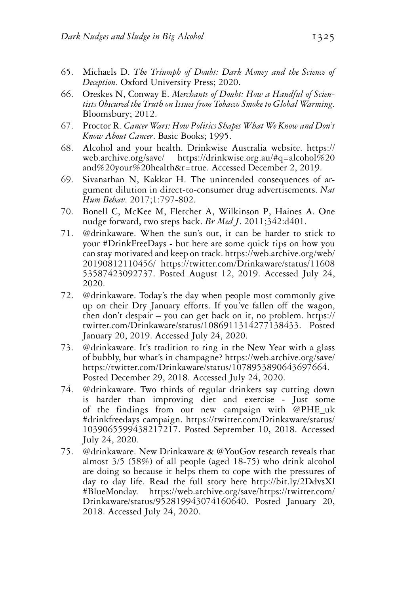- 65. Michaels D. *The Triumph of Doubt: Dark Money and the Science of Deception*. Oxford University Press; 2020.
- 66. Oreskes N, Conway E. *Merchants of Doubt: How a Handful of Scientists Obscured the Truth on Issues from Tobacco Smoke to Global Warming*. Bloomsbury; 2012.
- 67. Proctor R. *Cancer Wars: How Politics Shapes What We Know and Don't Know About Cancer*. Basic Books; 1995.
- 68. Alcohol and your health. Drinkwise Australia website. [https://](https://web.archive.org/save/) [web.archive.org/save/](https://web.archive.org/save/) [https://drinkwise.org.au/#q=alcohol%20](https://drinkwise.org.au/#q=alcohol%20and%20your%20health&r=true) [and%20your%20health&r=true.](https://drinkwise.org.au/#q=alcohol%20and%20your%20health&r=true) Accessed December 2, 2019.
- 69. Sivanathan N, Kakkar H. The unintended consequences of argument dilution in direct-to-consumer drug advertisements. *Nat Hum Behav*. 2017;1:797-802.
- 70. Bonell C, McKee M, Fletcher A, Wilkinson P, Haines A. One nudge forward, two steps back. *Br Med J*. 2011;342:d401.
- 71. @drinkaware. When the sun's out, it can be harder to stick to your #DrinkFreeDays - but here are some quick tips on how you can stay motivated and keep on track. [https://web.archive.org/web/](https://web.archive.org/web/20190812110456/) [20190812110456/](https://web.archive.org/web/20190812110456/) [https://twitter.com/Drinkaware/status/11608](https://twitter.com/Drinkaware/status/1160853587423092737) [53587423092737.](https://twitter.com/Drinkaware/status/1160853587423092737) Posted August 12, 2019. Accessed July 24, 2020.
- 72. @drinkaware. Today's the day when people most commonly give up on their Dry January efforts. If you've fallen off the wagon, then don't despair – you can get back on it, no problem. [https://](https://twitter.com/Drinkaware/status/1086911314277138433) [twitter.com/Drinkaware/status/1086911314277138433.](https://twitter.com/Drinkaware/status/1086911314277138433) Posted January 20, 2019. Accessed July 24, 2020.
- 73. @drinkaware. It's tradition to ring in the New Year with a glass of bubbly, but what's in champagne?<https://web.archive.org/save/> [https://twitter.com/Drinkaware/status/1078953890643697664.](https://twitter.com/Drinkaware/status/1078953890643697664) Posted December 29, 2018. Accessed July 24, 2020.
- 74. @drinkaware. Two thirds of regular drinkers say cutting down is harder than improving diet and exercise - Just some of the findings from our new campaign with @PHE\_uk #drinkfreedays campaign. [https://twitter.com/Drinkaware/status/](https://twitter.com/Drinkaware/status/1039065599438217217) [1039065599438217217.](https://twitter.com/Drinkaware/status/1039065599438217217) Posted September 10, 2018. Accessed July 24, 2020.
- 75. @drinkaware. New Drinkaware & @YouGov research reveals that almost 3/5 (58%) of all people (aged 18-75) who drink alcohol are doing so because it helps them to cope with the pressures of day to day life. Read the full story here<http://bit.ly/2DdvsXl> #BlueMonday.<https://web.archive.org/save/>[https://twitter.com/](https://twitter.com/Drinkaware/status/952819943074160640) [Drinkaware/status/952819943074160640.](https://twitter.com/Drinkaware/status/952819943074160640) Posted January 20, 2018. Accessed July 24, 2020.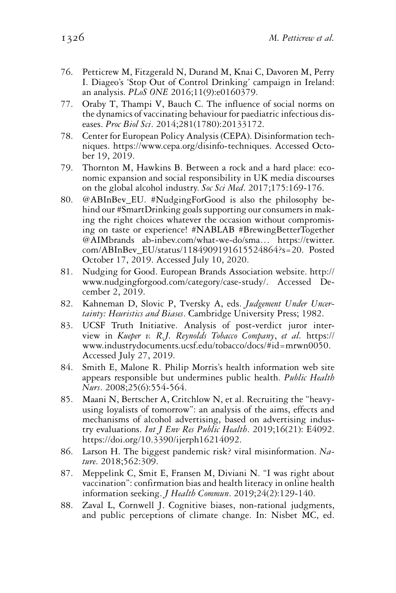- 76. Petticrew M, Fitzgerald N, Durand M, Knai C, Davoren M, Perry I. Diageo's 'Stop Out of Control Drinking' campaign in Ireland: an analysis. *PLoS ONE* 2016;11(9):e0160379.
- 77. Oraby T, Thampi V, Bauch C. The influence of social norms on the dynamics of vaccinating behaviour for paediatric infectious diseases. *Proc Biol Sci*. 2014;281(1780):20133172.
- 78. Center for European Policy Analysis (CEPA). Disinformation techniques. [https://www.cepa.org/disinfo-techniques.](https://www.cepa.org/disinfo-techniques) Accessed October 19, 2019.
- 79. Thornton M, Hawkins B. Between a rock and a hard place: economic expansion and social responsibility in UK media discourses on the global alcohol industry. *Soc Sci Med*. 2017;175:169-176.
- 80. @ABInBev EU. #NudgingForGood is also the philosophy behind our #SmartDrinking goals supporting our consumers in making the right choices whatever the occasion without compromising on taste or experience! #NABLAB #BrewingBetterTogether @AIMbrands ab-inbev.com/what-we-do/sma… [https://twitter.](https://twitter.com/ABInBev_EU/status/1184909191615524864?s=20) [com/ABInBev\\_EU/status/1184909191615524864?s=20.](https://twitter.com/ABInBev_EU/status/1184909191615524864?s=20) Posted October 17, 2019. Accessed July 10, 2020.
- 81. Nudging for Good. European Brands Association website. [http://](http://www.nudgingforgood.com/category/case-study/) [www.nudgingforgood.com/category/case-study/.](http://www.nudgingforgood.com/category/case-study/) Accessed December 2, 2019.
- 82. Kahneman D, Slovic P, Tversky A, eds. *Judgement Under Uncertainty: Heuristics and Biases*. Cambridge University Press; 1982.
- 83. UCSF Truth Initiative. Analysis of post-verdict juror interview in *Kueper v. R.J. Reynolds Tobacco Company*, *et al.* [https://](https://www.industrydocuments.ucsf.edu/tobacco/docs/#id=mrwn0050) [www.industrydocuments.ucsf.edu/tobacco/docs/#id=mrwn0050.](https://www.industrydocuments.ucsf.edu/tobacco/docs/#id=mrwn0050) Accessed July 27, 2019.
- 84. Smith E, Malone R. Philip Morris's health information web site appears responsible but undermines public health. *Public Health Nurs*. 2008;25(6):554-564.
- 85. Maani N, Bertscher A, Critchlow N, et al. Recruiting the "heavyusing loyalists of tomorrow": an analysis of the aims, effects and mechanisms of alcohol advertising, based on advertising industry evaluations. *Int J Env Res Public Health*. 2019;16(21): E4092. [https://doi.org/10.3390/ijerph16214092.](https://doi.org/10.3390/ijerph16214092)
- 86. Larson H. The biggest pandemic risk? viral misinformation. *Nature*. 2018;562:309.
- 87. Meppelink C, Smit E, Fransen M, Diviani N. "I was right about vaccination": confirmation bias and health literacy in online health information seeking. *J Health Commun*. 2019;24(2):129-140.
- 88. Zaval L, Cornwell J. Cognitive biases, non-rational judgments, and public perceptions of climate change. In: Nisbet MC, ed.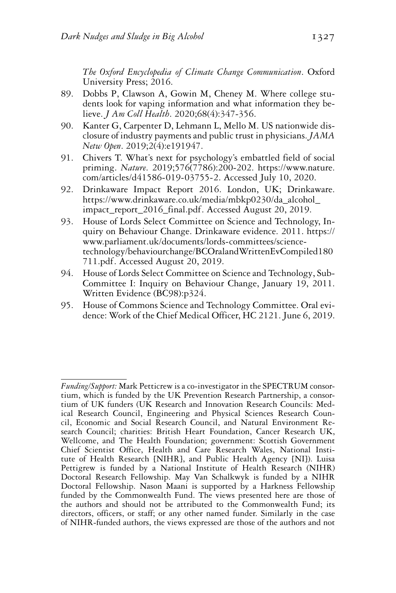*The Oxford Encyclopedia of Climate Change Communication*. Oxford University Press; 2016.

- 89. Dobbs P, Clawson A, Gowin M, Cheney M. Where college students look for vaping information and what information they believe. *J Am Coll Health*. 2020;68(4):347-356.
- 90. Kanter G, Carpenter D, Lehmann L, Mello M. US nationwide disclosure of industry payments and public trust in physicians.*JAMA Netw Open*. 2019;2(4):e191947.
- 91. Chivers T. What's next for psychology's embattled field of social priming. *Nature*. 2019;576(7786):200-202. [https://www.nature.](https://www.nature.com/articles/d41586-019-03755-2) [com/articles/d41586-019-03755-2.](https://www.nature.com/articles/d41586-019-03755-2) Accessed July 10, 2020.
- 92. Drinkaware Impact Report 2016. London, UK; Drinkaware. [https://www.drinkaware.co.uk/media/mbkp0230/da\\_alcohol\\_](https://www.drinkaware.co.uk/media/mbkp0230/da_alcohol_impact_report_2016_final.pdf) [impact\\_report\\_2016\\_final.pdf.](https://www.drinkaware.co.uk/media/mbkp0230/da_alcohol_impact_report_2016_final.pdf) Accessed August 20, 2019.
- 93. House of Lords Select Committee on Science and Technology, Inquiry on Behaviour Change. Drinkaware evidence. 2011. [https://](https://www.parliament.uk/documents/lords-committees/science-technology/behaviourchange/BCOralandWrittenEvCompiled180711.pdf) [www.parliament.uk/documents/lords-committees/science](https://www.parliament.uk/documents/lords-committees/science-technology/behaviourchange/BCOralandWrittenEvCompiled180711.pdf)[technology/behaviourchange/BCOralandWrittenEvCompiled180](https://www.parliament.uk/documents/lords-committees/science-technology/behaviourchange/BCOralandWrittenEvCompiled180711.pdf) [711.pdf.](https://www.parliament.uk/documents/lords-committees/science-technology/behaviourchange/BCOralandWrittenEvCompiled180711.pdf) Accessed August 20, 2019.
- 94. House of Lords Select Committee on Science and Technology, Sub-Committee I: Inquiry on Behaviour Change, January 19, 2011. Written Evidence (BC98):p324.
- 95. House of Commons Science and Technology Committee. Oral evidence: Work of the Chief Medical Officer, HC 2121. June 6, 2019.

*Funding/Support:* Mark Petticrew is a co-investigator in the SPECTRUM consortium, which is funded by the UK Prevention Research Partnership, a consortium of UK funders (UK Research and Innovation Research Councils: Medical Research Council, Engineering and Physical Sciences Research Council, Economic and Social Research Council, and Natural Environment Research Council; charities: British Heart Foundation, Cancer Research UK, Wellcome, and The Health Foundation; government: Scottish Government Chief Scientist Office, Health and Care Research Wales, National Institute of Health Research [NIHR], and Public Health Agency [NI]). Luisa Pettigrew is funded by a National Institute of Health Research (NIHR) Doctoral Research Fellowship. May Van Schalkwyk is funded by a NIHR Doctoral Fellowship. Nason Maani is supported by a Harkness Fellowship funded by the Commonwealth Fund. The views presented here are those of the authors and should not be attributed to the Commonwealth Fund; its directors, officers, or staff; or any other named funder. Similarly in the case of NIHR-funded authors, the views expressed are those of the authors and not